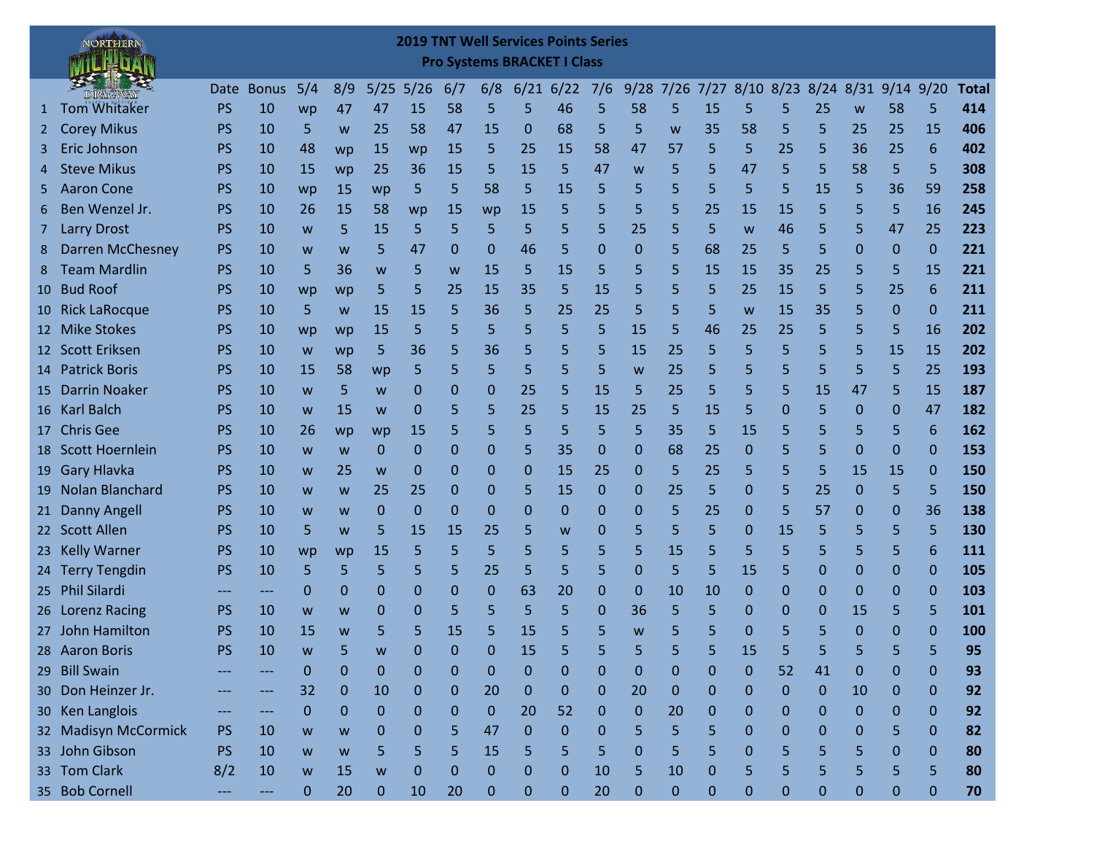## **2019 TNT Well Services Points Series Pro Systems BRACKET I Class**

NORTHERN

ſ.

|                | DIRAGWAY                |           | Date Bonus | 5/4         | 8/9          | $5/25$ $5/26$ |              | 6/7          | 6/8          | 6/21        | 6/22             | 7/6          |              | $9/28$ 7/26 |              |              |                  | 7/27 8/10 8/23 8/24 8/31 9/14 9/20 |              |              |             | <b>Total</b> |
|----------------|-------------------------|-----------|------------|-------------|--------------|---------------|--------------|--------------|--------------|-------------|------------------|--------------|--------------|-------------|--------------|--------------|------------------|------------------------------------|--------------|--------------|-------------|--------------|
| 1              | <b>Tom Whitaker</b>     | <b>PS</b> | 10         | wp          | 47           | 47            | 15           | 58           | 5            | 5           | 46               | 5            | 58           | 5           | 15           | 5            | 5                | 25                                 | W            | 58           | 5           | 414          |
|                | <b>Corey Mikus</b>      | <b>PS</b> | 10         | 5           | W            | 25            | 58           | 47           | 15           | 0           | 68               | 5            | 5            | W           | 35           | 58           | 5                | 5                                  | 25           | 25           | 15          | 406          |
| 3.             | Eric Johnson            | PS        | 10         | 48          | wp           | 15            | wp           | 15           | 5            | 25          | 15               | 58           | 47           | 57          | 5            | 5            | 25               | 5                                  | 36           | 25           | 6           | 402          |
| 4              | <b>Steve Mikus</b>      | <b>PS</b> | 10         | 15          | wp           | 25            | 36           | 15           | 5            | 15          | 5                | 47           | W            | 5           | 5            | 47           | 5                | 5                                  | 58           | 5            | 5           | 308          |
| 5.             | <b>Aaron Cone</b>       | <b>PS</b> | 10         | wp          | 15           | wp            | 5.           | 5            | 58           | 5           | 15               | 5            | 5            | 5           | 5            | 5            | 5                | 15                                 | 5            | 36           | 59          | 258          |
| 6              | Ben Wenzel Jr.          | PS        | 10         | 26          | 15           | 58            | wp           | 15           | wp           | 15          | 5                | 5            | 5            | 5           | 25           | 15           | 15               | 5                                  | 5            | 5            | 16          | 245          |
| 7 <sup>7</sup> | <b>Larry Drost</b>      | <b>PS</b> | 10         | W           | 5            | 15            | 5            | 5            | 5            | 5           | 5                | 5            | 25           | 5           | 5            | W            | 46               | 5                                  | 5            | 47           | 25          | 223          |
| 8              | <b>Darren McChesney</b> | <b>PS</b> | 10         | W           | W            | 5             | 47           | 0            | $\mathbf{0}$ | 46          | 5                | $\mathbf 0$  | $\mathbf{0}$ | 5           | 68           | 25           | 5                | 5                                  | $\mathbf 0$  | $\mathbf{0}$ | $\mathbf 0$ | 221          |
| 8              | <b>Team Mardlin</b>     | <b>PS</b> | 10         | 5           | 36           | W             | 5            | W            | 15           | 5           | 15               | 5            | 5            | 5           | 15           | 15           | 35               | 25                                 | 5            | 5            | 15          | 221          |
|                | 10 Bud Roof             | PS        | 10         | wp          | wp           | 5             | 5            | 25           | 15           | 35          | 5                | 15           | 5            | 5           | 5            | 25           | 15               | 5                                  | 5            | 25           | 6           | 211          |
|                | 10 Rick LaRocque        | <b>PS</b> | 10         | 5           | W            | 15            | 15           | 5            | 36           | 5           | 25               | 25           | 5            | 5           | 5            | W            | 15               | 35                                 | 5            | $\mathbf{0}$ | $\mathbf 0$ | 211          |
|                | 12 Mike Stokes          | <b>PS</b> | 10         | wp          | wp           | 15            | 5            | 5            | 5            | 5           | 5                | 5            | 15           | 5           | 46           | 25           | 25               | 5                                  | 5            | 5            | 16          | 202          |
|                | 12 Scott Eriksen        | PS        | 10         | W           | wp           | 5             | 36           | 5            | 36           | 5           | 5                | 5            | 15           | 25          | 5            | 5            | 5                | 5                                  | 5            | 15           | 15          | 202          |
|                | 14 Patrick Boris        | <b>PS</b> | 10         | 15          | 58           | wp            | 5            | 5            | 5            | 5           | 5                | 5            | W            | 25          | 5            | 5            | 5                | 5                                  | 5            | 5            | 25          | 193          |
| 15             | <b>Darrin Noaker</b>    | PS        | 10         | W           | 5            | W             | $\mathbf{0}$ | 0            | $\mathbf 0$  | 25          | 5                | 15           | 5            | 25          | 5            | 5            | 5                | 15                                 | 47           | 5            | 15          | 187          |
|                | 16 Karl Balch           | <b>PS</b> | 10         | W           | 15           | W             | $\Omega$     | 5            | 5            | 25          | 5                | 15           | 25           | 5           | 15           | 5            | $\mathbf{0}$     | 5                                  | $\mathbf 0$  | $\mathbf 0$  | 47          | 182          |
|                | 17 Chris Gee            | PS        | 10         | 26          | wp           | wp            | 15           | 5            | 5            | 5           | 5                | 5            | 5            | 35          | 5.           | 15           | 5                | 5                                  | 5            | 5            | 6           | 162          |
|                | 18 Scott Hoernlein      | PS        | 10         | W           | W            | 0             | 0            | 0            | 0            | 5           | 35               | $\mathbf{0}$ | 0            | 68          | 25           | $\mathbf{0}$ | 5                | 5                                  | $\Omega$     | $\Omega$     | $\mathbf 0$ | 153          |
|                | 19 Gary Hlavka          | PS        | 10         | W           | 25           | W             | 0            | 0            | 0            | $\mathbf 0$ | 15               | 25           | 0            | 5           | 25           | 5            | 5                | 5                                  | 15           | 15           | $\mathbf 0$ | 150          |
|                | 19 Nolan Blanchard      | <b>PS</b> | 10         | W           | W            | 25            | 25           | 0            | $\mathbf 0$  | 5           | 15               | $\mathbf 0$  | $\mathbf{0}$ | 25          | 5            | 0            | 5                | 25                                 | $\mathbf 0$  | 5            | 5           | 150          |
|                | 21 Danny Angell         | <b>PS</b> | 10         | W           | W            | 0             | $\mathbf{0}$ | $\mathbf{0}$ | $\mathbf{0}$ | 0           | $\mathbf{0}$     | 0            | 0            | 5           | 25           | 0            | 5                | 57                                 | 0            | 0            | 36          | 138          |
|                | 22 Scott Allen          | <b>PS</b> | 10         | 5           | W            | 5             | 15           | 15           | 25           | 5           | W                | $\mathbf 0$  | 5            | 5           | 5            | 0            | 15               | 5                                  | 5            | 5            | 5           | 130          |
|                | 23 Kelly Warner         | <b>PS</b> | 10         | wp          | wp           | 15            | 5            | 5            | 5            | 5           | 5                | 5            | 5            | 15          | 5            | 5            | 5                | 5                                  | 5            | 5            | 6           | 111          |
|                | 24 Terry Tengdin        | <b>PS</b> | 10         | 5           | 5            | 5             | 5            | 5            | 25           | 5           | 5                | 5            | $\Omega$     | 5           | 5            | 15           | 5                | 0                                  | $\mathbf 0$  | $\mathbf 0$  | $\mathbf 0$ | 105          |
|                | 25 Phil Silardi         |           | ---        | 0           | $\mathbf{0}$ | 0             | $\mathbf{0}$ | 0            | $\mathbf{0}$ | 63          | 20               | $\mathbf 0$  | 0            | 10          | 10           | 0            | $\mathbf{0}$     | 0                                  | $\mathbf 0$  | $\mathbf 0$  | $\mathbf 0$ | 103          |
|                | 26 Lorenz Racing        | <b>PS</b> | 10         | W           | W            | 0             | 0            | 5            | 5            | 5           | 5                | $\mathbf{0}$ | 36           | 5           | 5            | 0            | 0                | 0                                  | 15           | 5            | 5           | 101          |
|                | 27 John Hamilton        | <b>PS</b> | 10         | 15          | W            | 5             | 5            | 15           | 5            | 15          | 5                | 5            | W            | 5           | 5            | $\mathbf{0}$ | 5                | 5                                  | $\mathbf 0$  | $\mathbf 0$  | $\mathbf 0$ | 100          |
|                | 28 Aaron Boris          | <b>PS</b> | 10         | W           | 5            | W             | 0            | 0            | 0            | 15          | 5                | 5            | 5            | 5           | 5            | 15           | 5                | 5                                  | 5            | 5            | 5           | 95           |
|                | 29 Bill Swain           |           |            | $\Omega$    | $\mathbf{0}$ | 0             | 0            | 0            | 0            | $\Omega$    | $\Omega$         | 0            | $\Omega$     | 0           | 0            | 0            | 52               | 41                                 | $\Omega$     | $\Omega$     | $\Omega$    | 93           |
|                | 30 Don Heinzer Jr.      |           |            | 32          | 0            | 10            | 0            |              | 20           | n           | n                | n            | 20           | N           | O            | N            | O                | ∩                                  | 10           |              | O           | 92           |
|                | 30 Ken Langlois         |           |            | 0           | $\mathbf{0}$ | 0             | 0            | $\mathbf 0$  | 0            | 20          | 52               | $\mathbf 0$  | 0            | 20          | 0            | 0            | 0                | 0                                  | $\mathbf 0$  | $\mathbf{0}$ | $\mathbf 0$ | 92           |
|                | 32 Madisyn McCormick    | <b>PS</b> | 10         | W           | W            | 0             | 0            | 5            | 47           | $\pmb{0}$   | $\boldsymbol{0}$ | $\mathbf 0$  | 5            | 5           | 5            | $\mathbf 0$  | $\boldsymbol{0}$ | 0                                  | $\mathbf{0}$ | 5            | $\mathbf 0$ | 82           |
|                | 33 John Gibson          | <b>PS</b> | 10         | W           | W            | 5             | 5.           | 5            | 15           | 5           | 5                | 5            | $\mathbf{0}$ | 5           | 5            | $\mathbf 0$  | 5                | 5                                  | 5            | $\mathbf{0}$ | $\mathbf 0$ | 80           |
|                | 33 Tom Clark            | 8/2       | 10         | W           | 15           | W             | 0            | $\mathbf 0$  | 0            | 0           | 0                | 10           | 5            | 10          | $\mathbf{0}$ | 5            | 5                | 5                                  | 5            | 5            | 5           | 80           |
|                | 35 Bob Cornell          | ---       | ---        | $\mathbf 0$ | 20           | $\mathbf 0$   | 10           | 20           | 0            | 0           | $\mathbf 0$      | 20           | 0            | $\mathbf 0$ | 0            | $\mathbf{0}$ | 0                | 0                                  | $\mathbf{0}$ | $\mathbf{0}$ | $\mathbf 0$ | 70           |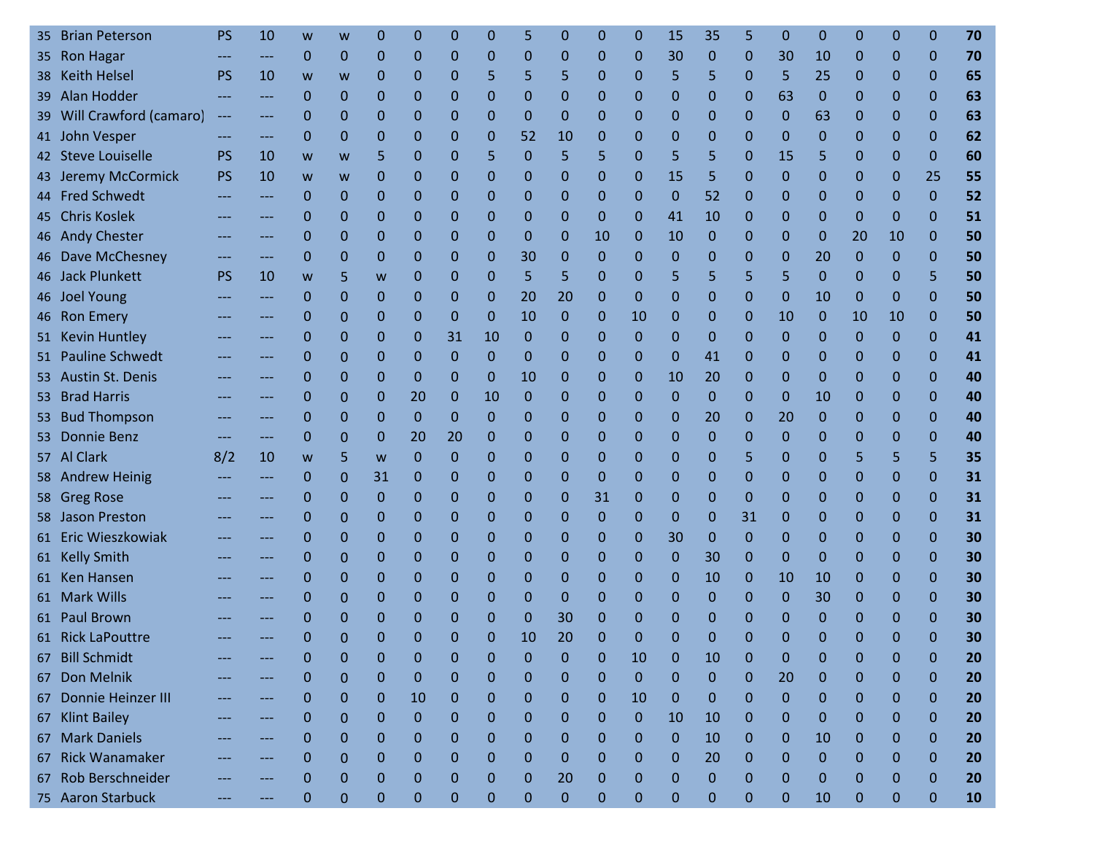| 35 | <b>Brian Peterson</b>  | PS                | 10    | w            | w            | O            | 0  | 0            | 0            | 5            | 0  | 0            | 0            | 15           | 35       | 5            | 0            | 0            | 0            | 0            | 0            | 70 |
|----|------------------------|-------------------|-------|--------------|--------------|--------------|----|--------------|--------------|--------------|----|--------------|--------------|--------------|----------|--------------|--------------|--------------|--------------|--------------|--------------|----|
|    | 35 Ron Hagar           |                   | ---   | $\mathbf{0}$ | 0            | 0            | 0  | 0            | 0            | 0            | 0  | 0            | 0            | 30           | 0        | 0            | 30           | 10           | 0            | 0            | $\mathbf{0}$ | 70 |
| 38 | <b>Keith Helsel</b>    | <b>PS</b>         | 10    | W            | W            | 0            | 0  | 0            | 5            | 5            | 5  | 0            | 0            | 5            | 5        | 0            | 5            | 25           | 0            | $\mathbf 0$  | $\mathbf{0}$ | 65 |
|    | 39 Alan Hodder         |                   | ---   | $\Omega$     | 0            | $\mathbf{0}$ | 0  | 0            | 0            | 0            | 0  | 0            | 0            | $\mathbf{0}$ | 0        | 0            | 63           | $\mathbf 0$  | 0            | 0            | $\mathbf{0}$ | 63 |
| 39 | Will Crawford (camaro) | $---$             | ---   | 0            | 0            | $\Omega$     | 0  | 0            | 0            | $\mathbf 0$  | 0  | 0            | 0            | $\mathbf 0$  | 0        | $\mathbf{0}$ | 0            | 63           | 0            | $\mathbf 0$  | $\mathbf{0}$ | 63 |
|    | 41 John Vesper         |                   | ---   | 0            | 0            | $\mathbf{0}$ | 0  | 0            | 0            | 52           | 10 | 0            | 0            | 0            | 0        | 0            | 0            | $\Omega$     | 0            | $\Omega$     | $\mathbf{0}$ | 62 |
|    | 42 Steve Louiselle     | <b>PS</b>         | 10    | W            | W            | 5            | 0  | 0            | 5            | $\mathbf 0$  | 5  | 5            | 0            | 5            | 5        | $\mathbf{0}$ | 15           | 5            | 0            | $\mathbf 0$  | $\mathbf{0}$ | 60 |
|    | 43 Jeremy McCormick    | <b>PS</b>         | 10    | W            | W            | 0            | 0  | 0            | 0            | 0            | 0  | 0            | 0            | 15           | 5        | $\mathbf{0}$ | $\mathbf{0}$ | $\mathbf 0$  | 0            | $\mathbf{0}$ | 25           | 55 |
|    | 44 Fred Schwedt        |                   | ---   | $\Omega$     | 0            | 0            | 0  | 0            | 0            | 0            | 0  | $\mathbf 0$  | $\mathbf{0}$ | $\mathbf{0}$ | 52       | 0            | 0            | 0            | 0            | $\mathbf{0}$ | $\mathbf{0}$ | 52 |
|    | 45 Chris Koslek        |                   | ---   | $\mathbf 0$  | 0            | $\Omega$     | 0  | 0            | 0            | 0            | 0  | $\mathbf 0$  | 0            | 41           | 10       | 0            | 0            | 0            | $\mathbf 0$  | $\mathbf 0$  | $\mathbf{0}$ | 51 |
|    | 46 Andy Chester        |                   | ---   | 0            | 0            | $\Omega$     | 0  | 0            | 0            | $\mathbf{0}$ | 0  | 10           | 0            | 10           | 0        | 0            | 0            | $\mathbf 0$  | 20           | 10           | $\mathbf{0}$ | 50 |
|    | 46 Dave McChesney      | ---               | $---$ | $\Omega$     | 0            | $\Omega$     | 0  | 0            | 0            | 30           | 0  | $\mathbf 0$  | $\mathbf{0}$ | $\mathbf{0}$ | 0        | 0            | 0            | 20           | $\mathbf 0$  | $\mathbf 0$  | $\Omega$     | 50 |
|    | 46 Jack Plunkett       | <b>PS</b>         | 10    | W            | 5            | W            | 0  | 0            | 0            | 5            | 5  | 0            | 0            | 5            | 5        | 5            | 5            | $\mathbf{0}$ | 0            | 0            | 5            | 50 |
|    | 46 Joel Young          |                   | ---   | 0            | 0            | 0            | 0  | $\mathbf{0}$ | $\mathbf{0}$ | 20           | 20 | $\mathbf 0$  | $\mathbf{0}$ | $\mathbf{0}$ | 0        | $\mathbf{0}$ | $\mathbf{0}$ | 10           | 0            | $\mathbf{0}$ | $\mathbf{0}$ | 50 |
|    | 46 Ron Emery           |                   | ---   | 0            | 0            | 0            | 0  | 0            | 0            | 10           | 0  | 0            | 10           | 0            | 0        | 0            | 10           | $\mathbf 0$  | 10           | 10           | $\mathbf{0}$ | 50 |
|    | 51 Kevin Huntley       |                   | ---   | $\mathbf 0$  | 0            | $\mathbf{0}$ | 0  | 31           | 10           | 0            | 0  | 0            | 0            | $\mathbf 0$  | 0        | 0            | 0            | 0            | $\mathbf 0$  | $\mathbf{0}$ | $\mathbf{0}$ | 41 |
| 51 | <b>Pauline Schwedt</b> |                   | ---   | $\mathbf 0$  | 0            | $\Omega$     | 0  | $\Omega$     | 0            | $\mathbf 0$  | 0  | $\mathbf 0$  | 0            | $\mathbf 0$  | 41       | 0            | $\mathbf{0}$ | $\mathbf 0$  | 0            | $\mathbf 0$  | $\mathbf{0}$ | 41 |
|    | 53 Austin St. Denis    |                   | ---   | 0            | 0            | $\mathbf{0}$ | 0  | 0            | 0            | 10           | 0  | 0            | 0            | 10           | 20       | 0            | 0            | $\Omega$     | 0            | $\mathbf{0}$ | $\mathbf{0}$ | 40 |
| 53 | <b>Brad Harris</b>     |                   | ---   | $\mathbf 0$  | 0            | $\Omega$     | 20 | 0            | 10           | 0            | 0  | 0            | $\mathbf{0}$ | $\mathbf 0$  | $\Omega$ | 0            | 0            | 10           | 0            | $\mathbf 0$  | $\mathbf{0}$ | 40 |
| 53 | <b>Bud Thompson</b>    |                   | ---   | 0            | 0            | $\Omega$     | 0  | $\Omega$     | 0            | 0            | 0  | 0            | $\Omega$     | $\mathbf 0$  | 20       | 0            | 20           | $\mathbf 0$  | 0            | $\mathbf{0}$ | $\mathbf{0}$ | 40 |
| 53 | <b>Donnie Benz</b>     |                   | ---   | $\Omega$     | 0            | $\mathbf{0}$ | 20 | 20           | 0            | 0            | 0  | $\mathbf 0$  | 0            | $\mathbf 0$  | 0        | 0            | $\mathbf 0$  | 0            | 0            | 0            | $\mathbf{0}$ | 40 |
|    | 57 Al Clark            | 8/2               | 10    | W            | 5            | W            | 0  | 0            | 0            | 0            | 0  | 0            | 0            | $\mathbf 0$  | 0        | 5            | 0            | 0            | 5            | 5            | 5            | 35 |
|    | 58 Andrew Heinig       |                   | ---   | $\mathbf{0}$ | 0            | 31           | 0  | 0            | 0            | 0            | 0  | $\mathbf 0$  | $\Omega$     | $\mathbf 0$  | 0        | 0            | 0            | 0            | 0            | $\mathbf{0}$ | $\mathbf{0}$ | 31 |
|    | 58 Greg Rose           |                   | ---   | 0            | 0            | $\Omega$     | 0  | 0            | 0            | 0            | 0  | 31           | 0            | $\mathbf{0}$ | 0        | 0            | 0            | 0            | 0            | $\mathbf 0$  | $\mathbf{0}$ | 31 |
|    | 58 Jason Preston       |                   | ---   | 0            | 0            | $\mathbf{0}$ | 0  | 0            | 0            | 0            | 0  | 0            | $\Omega$     | $\Omega$     | 0        | 31           | 0            | 0            | 0            | $\mathbf{0}$ | $\mathbf{0}$ | 31 |
|    | 61 Eric Wieszkowiak    |                   | ---   | $\mathbf 0$  | $\mathbf{0}$ | $\Omega$     | 0  | 0            | 0            | 0            | 0  | 0            | $\mathbf 0$  | 30           | 0        | 0            | 0            | 0            | 0            | $\mathbf 0$  | $\mathbf{0}$ | 30 |
|    | 61 Kelly Smith         |                   | ---   | $\mathbf 0$  | 0            | 0            | 0  | 0            | 0            | 0            | 0  | 0            | 0            | $\mathbf 0$  | 30       | 0            | $\mathbf 0$  | 0            | 0            | $\mathbf 0$  | $\mathbf{0}$ | 30 |
|    | 61 Ken Hansen          |                   | ---   | $\mathbf 0$  | 0            | $\mathbf{0}$ | 0  | 0            | 0            | 0            | 0  | $\mathbf{0}$ | 0            | $\mathbf 0$  | 10       | 0            | 10           | 10           | 0            | $\mathbf{0}$ | $\mathbf{0}$ | 30 |
|    | 61 Mark Wills          |                   | ---   | $\mathbf 0$  | 0            | $\mathbf 0$  | 0  | 0            | 0            | 0            | 0  | 0            | 0            | $\mathbf 0$  | 0        | 0            | $\mathbf{0}$ | 30           | 0            | $\mathbf 0$  | $\mathbf{0}$ | 30 |
| 61 | <b>Paul Brown</b>      |                   |       | 0            | 0            | 0            | 0  | 0            | 0            | 0            | 30 | 0            | 0            | 0            | 0        | 0            | 0            | 0            | 0            | 0            | 0            | 30 |
|    | 61 Rick LaPouttre      |                   |       | 0            | $\Omega$     | $\Omega$     | 0  | 0            | 0            | 10           | 20 | $\Omega$     | $\Omega$     | $\Omega$     | 0        | $\Omega$     | 0            | $\Omega$     | O            | 0            | $\Omega$     | 30 |
| 67 | <b>Bill Schmidt</b>    |                   |       | 0            | 0            | 0            | 0  | 0            | $\mathbf 0$  | $\mathbf 0$  | 0  | $\mathbf 0$  | 10           | $\mathbf 0$  | 10       | 0            | $\mathbf{0}$ | $\mathbf{0}$ | $\mathbf{0}$ | $\mathbf{0}$ | $\mathbf{0}$ | 20 |
|    | 67 Don Melnik          |                   | ---   | 0            | $\mathbf{0}$ | $\mathbf{0}$ | 0  | 0            | 0            | 0            | 0  | $\mathbf 0$  | $\Omega$     | $\mathbf{0}$ | 0        | $\mathbf{0}$ | 20           | 0            | 0            | 0            | $\mathbf{0}$ | 20 |
| 67 | Donnie Heinzer III     | $\qquad \qquad -$ | ---   | $\mathbf 0$  | 0            | $\mathbf{0}$ | 10 | 0            | 0            | $\mathbf 0$  | 0  | $\mathbf 0$  | 10           | $\mathbf{0}$ | 0        | $\mathbf{0}$ | $\mathbf{0}$ | 0            | $\mathbf{0}$ | $\mathbf{0}$ | $\mathbf{0}$ | 20 |
|    | 67 Klint Bailey        | $\qquad \qquad -$ | ---   | $\mathbf 0$  | 0            | $\mathbf{0}$ | 0  | $\mathbf 0$  | 0            | 0            | 0  | $\mathbf 0$  | $\mathbf{0}$ | 10           | 10       | 0            | 0            | 0            | 0            | $\mathbf 0$  | $\mathbf{0}$ | 20 |
|    | 67 Mark Daniels        | ---               | ---   | $\mathbf 0$  | $\mathbf{0}$ | $\Omega$     | 0  | 0            | 0            | 0            | 0  | $\mathbf 0$  | $\mathbf{0}$ | $\mathbf 0$  | 10       | $\mathbf{0}$ | 0            | 10           | 0            | 0            | $\mathbf{0}$ | 20 |
|    | 67 Rick Wanamaker      |                   | ---   | 0            | 0            | $\mathbf{0}$ | 0  | 0            | 0            | $\mathbf{0}$ | 0  | $\mathbf 0$  | 0            | $\mathbf 0$  | 20       | 0            | 0            | $\Omega$     | 0            | 0            | $\mathbf{0}$ | 20 |
|    | 67 Rob Berschneider    | $---$             | ---   | 0            | $\mathbf{0}$ | $\mathbf{0}$ | 0  | 0            | 0            | $\mathbf 0$  | 20 | $\mathbf 0$  | $\Omega$     | $\mathbf{0}$ | 0        | $\mathbf{0}$ | $\Omega$     | $\mathbf{0}$ | 0            | 0            | $\mathbf{0}$ | 20 |
|    | 75 Aaron Starbuck      |                   | ---   | $\mathbf 0$  | 0            | $\pmb{0}$    | 0  | 0            | $\mathbf{0}$ | $\mathbf 0$  | 0  | $\mathbf 0$  | 0            | $\mathbf 0$  | 0        | 0            | 0            | 10           | 0            | 0            | $\mathbf 0$  | 10 |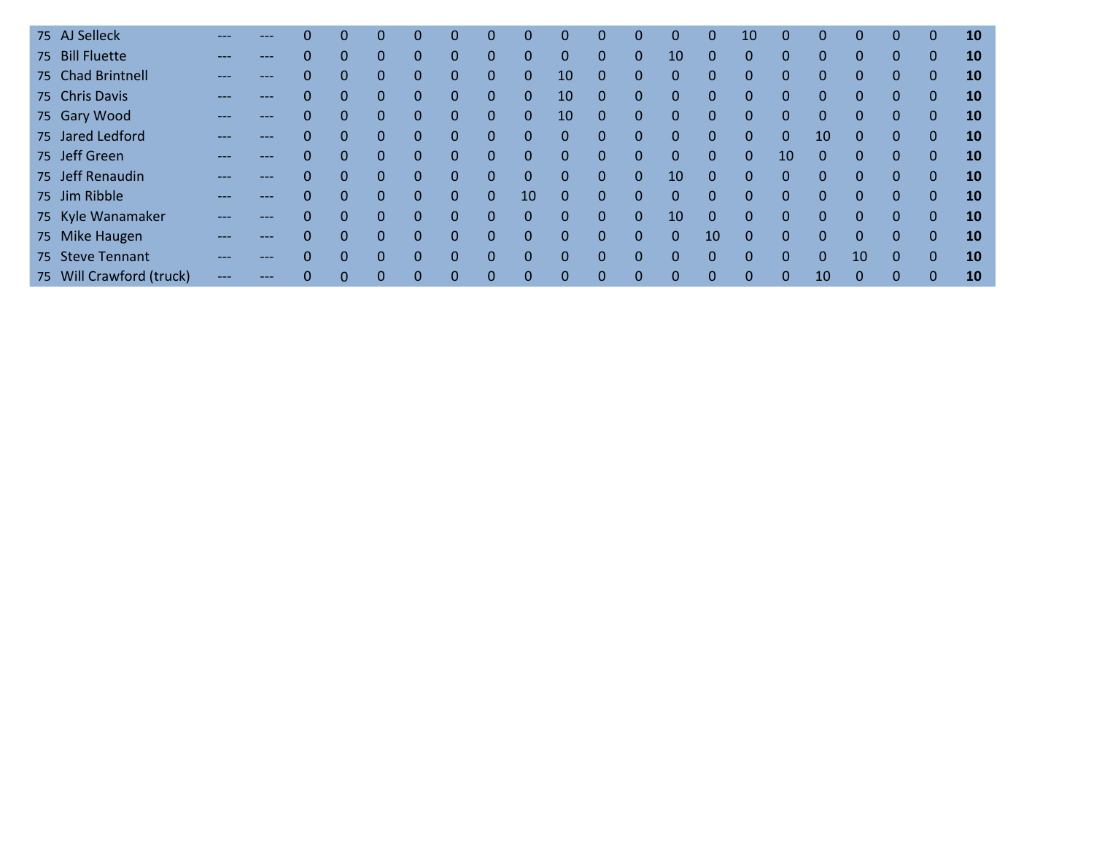| 75 AJ Selleck            |       |     |          | $\Omega$     | 0        | 0              | 0        | $\theta$     | 0           | $\Omega$     | 0            | $\Omega$     | 0              | 0        | 10           | $\Omega$     | $\Omega$     | $\mathbf 0$  | 0        | $\mathbf 0$  | <b>10</b> |
|--------------------------|-------|-----|----------|--------------|----------|----------------|----------|--------------|-------------|--------------|--------------|--------------|----------------|----------|--------------|--------------|--------------|--------------|----------|--------------|-----------|
| 75 Bill Fluette          |       | --- | 0        | $\Omega$     | 0        | 0              | 0        | $\theta$     | $\Omega$    | $\mathbf{0}$ | 0            | $\mathbf{0}$ | 10             | $\Omega$ | $\mathbf{0}$ | $\Omega$     | $\mathbf{0}$ | $\mathbf 0$  | 0        | $\mathbf{0}$ | 10        |
| 75 Chad Brintnell        |       | --- | 0        | $\mathbf{0}$ | 0        | 0              | $\Omega$ | $\mathbf{0}$ | $\mathbf 0$ | 10           | $\Omega$     | $\Omega$     | 0              | $\Omega$ | $\Omega$     | $\Omega$     | $\mathbf 0$  | $\Omega$     | $\Omega$ | $\mathbf{0}$ | 10        |
| 75 Chris Davis           |       | --- | 0        | $\mathbf{0}$ | $\Omega$ | $\Omega$       | $\Omega$ | $\mathbf{0}$ | $\Omega$    | 10           | $\Omega$     | $\mathbf{0}$ | $\Omega$       | $\Omega$ | $\Omega$     | $\Omega$     | $\Omega$     | $\Omega$     | $\Omega$ | $\mathbf 0$  | 10        |
| 75 Gary Wood             |       | --- | 0        | $\mathbf{0}$ | $\Omega$ | $\overline{0}$ | $\Omega$ | $\mathbf{0}$ | $\Omega$    | 10           | $\Omega$     | $\mathbf{0}$ | 0              | $\Omega$ | 0            | $\Omega$     | $\Omega$     | $\Omega$     | $\Omega$ | $\mathbf 0$  | 10        |
| 75 Jared Ledford         |       | --- |          | $\mathbf{0}$ | $\Omega$ | 0              | $\Omega$ | $\mathbf{0}$ | $\mathbf 0$ | $\mathbf 0$  | $\mathbf{0}$ | $\mathbf{0}$ | 0              | $\Omega$ | 0            | $\mathbf{0}$ | 10           | $\mathbf 0$  | 0        | $\mathbf 0$  | 10        |
| 75 Jeff Green            |       | --- |          |              | $\Omega$ | $\overline{0}$ | $\Omega$ | $\mathbf{0}$ | $\mathbf 0$ | $\Omega$     | $\mathbf 0$  | $\Omega$     | 0              | $\Omega$ | $\Omega$     | 10           | $\Omega$     | $\mathbf{0}$ |          | $\mathbf 0$  | 10        |
| 75 Jeff Renaudin         | ---   | --- |          | $\Omega$     | $\Omega$ | $\Omega$       | $\Omega$ | $\Omega$     | $\Omega$    | $\mathbf{0}$ | $\Omega$     | $\Omega$     | 10             | $\Omega$ | $\Omega$     | $\Omega$     | $\Omega$     | $\Omega$     | $\Omega$ | $\mathbf{0}$ | 10        |
| 75 Jim Ribble            |       | --- |          | $\Omega$     | $\Omega$ | 0              | $\Omega$ | $\mathbf{0}$ | 10          | $\Omega$     | $\Omega$     | $\Omega$     | $\Omega$       | $\Omega$ | $\Omega$     | $\Omega$     | $\Omega$     | $\Omega$     | $\Omega$ | $\mathbf{0}$ | 10        |
| 75 Kyle Wanamaker        |       | --- |          | $\Omega$     | $\Omega$ | 0              | $\Omega$ | $\Omega$     | $\Omega$    | $\Omega$     | $\Omega$     | $\Omega$     | 10             | $\Omega$ | $\Omega$     | $\Omega$     | $\Omega$     | $\Omega$     | $\Omega$ | $\mathbf 0$  | 10        |
| 75 Mike Haugen           | $---$ | --- | $\Omega$ | $\Omega$     | $\Omega$ | $\Omega$       | $\Omega$ | $\mathbf{0}$ | $\Omega$    | $\Omega$     | $\Omega$     | $\Omega$     | $\overline{0}$ | 10       | $\Omega$     | $\Omega$     | $\Omega$     | $\Omega$     | $\Omega$ | $\mathbf 0$  | 10        |
| 75 Steve Tennant         | ---   | --- | 0        | $\Omega$     | $\Omega$ | 0              | $\Omega$ | $\mathbf{0}$ | $\Omega$    | $\Omega$     | $\Omega$     | $\Omega$     | $\Omega$       | $\Omega$ | $\Omega$     | $\Omega$     | $\Omega$     | 10           | $\Omega$ | $\mathbf{0}$ | 10        |
| 75 Will Crawford (truck) |       |     | $\Omega$ |              | 0        | 0              |          | $\Omega$     | 0           | $\Omega$     | $\Omega$     | $\Omega$     | 0              | 0        |              | $\Omega$     | 10           | $\Omega$     | 0        | $\mathbf{0}$ | 10        |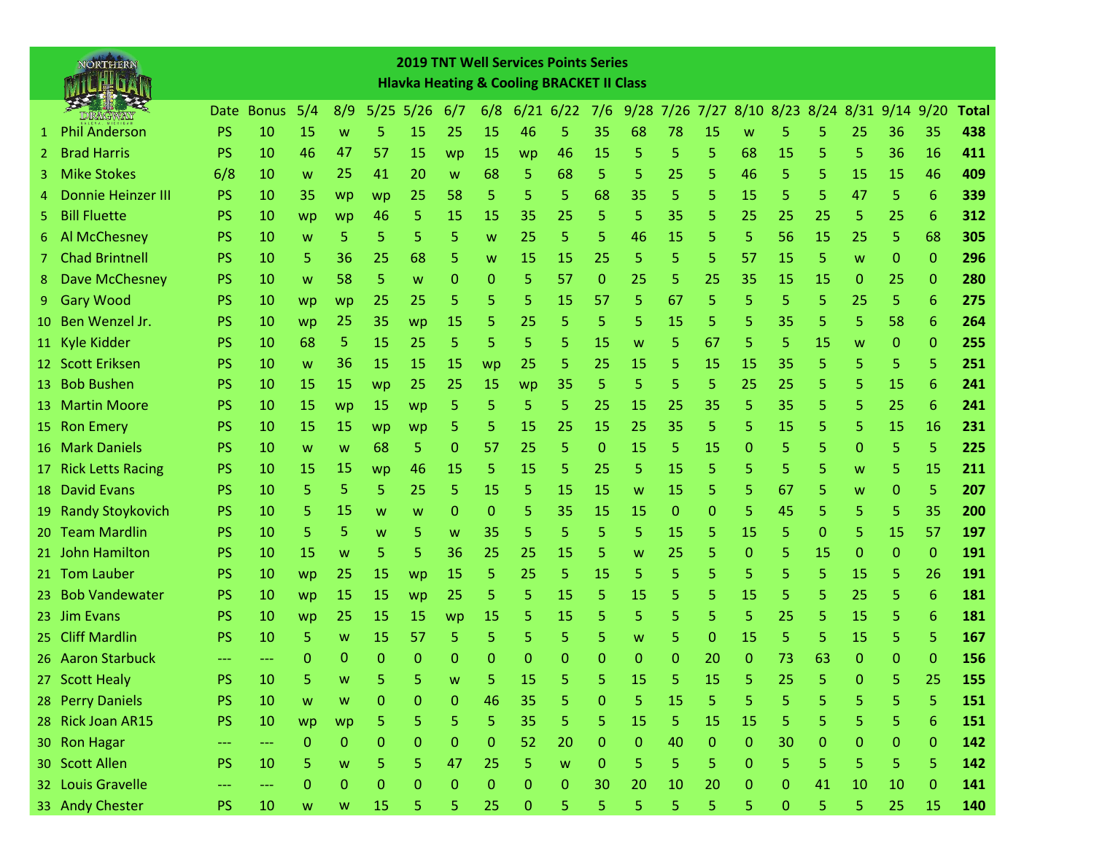|     | NORTHERN                  |           |            |                                                                                       |             |           |      |              |             |    | <b>2019 TNT Well Services Points Series</b><br><b>Hlavka Heating &amp; Cooling BRACKET II Class</b> |              |             |    |             |    |                |           |              |              |                 |              |
|-----|---------------------------|-----------|------------|---------------------------------------------------------------------------------------|-------------|-----------|------|--------------|-------------|----|-----------------------------------------------------------------------------------------------------|--------------|-------------|----|-------------|----|----------------|-----------|--------------|--------------|-----------------|--------------|
|     |                           |           | Date Bonus | 5/4                                                                                   | 8/9         | 5/25      | 5/26 | 6/7          | 6/8         |    | $6/21$ 6/22                                                                                         | 7/6          | $9/28$ 7/26 |    | 7/27        |    | 8/10 8/23 8/24 |           | 8/31         | $9/14$ 9/20  |                 | <b>Total</b> |
| 1   | <b>Phil Anderson</b>      | <b>PS</b> | 10         | 15                                                                                    | W           | 5         | 15   | 25           | 15          | 46 | 5                                                                                                   | 35           | 68          | 78 | 15          | W  | 5              | 5         | 25           | 36           | 35              | 438          |
| 2   | <b>Brad Harris</b>        | <b>PS</b> | 10         | 46                                                                                    | 47          | 57        | 15   | wp           | <b>15</b>   | wp | 46                                                                                                  | 15           | 5           | 5  | 5           | 68 | 15             | 5         | 5            | 36           | 16              | 411          |
| 3   | <b>Mike Stokes</b>        | 6/8       | 10         | W                                                                                     | 25          | 41        | 20   | W            | 68          | 5  | 68                                                                                                  | 5            | 5           | 25 | 5           | 46 | 5              | 5         | 15           | 15           | 46              | 409          |
| 4   | <b>Donnie Heinzer III</b> | PS        | 10         | 35                                                                                    | wp          | wp        | 25   | 58           | 5           | 5  | 5                                                                                                   | 68           | 35          | 5  | 5           | 15 | 5              | 5         | 47           | 5            | $6\phantom{1}6$ | 339          |
| 5   | <b>Bill Fluette</b>       | <b>PS</b> | 10         | wp                                                                                    | wp          | 46        | 5.   | 15           | 15          | 35 | 25                                                                                                  | 5            | 5           | 35 | 5           | 25 | 25             | 25        | 5            | 25           | 6               | 312          |
| 6   | Al McChesney              | <b>PS</b> | 10         | W                                                                                     | 5           | 5         | 5    | 5            | W           | 25 | 5                                                                                                   | 5            | 46          | 15 | 5           | 5  | 56             | <b>15</b> | 25           | 5            | 68              | 305          |
| 7.  | <b>Chad Brintnell</b>     | <b>PS</b> | 10         | 5                                                                                     | 36          | 25        | 68   | 5            | W           | 15 | 15                                                                                                  | 25           | 5           | 5  | 5           | 57 | 15             | 5         | W            | 0            | $\mathbf{0}$    | 296          |
| 8   | <b>Dave McChesney</b>     | PS        | 10         | W                                                                                     | 58          | 5         | W    | 0            | 0           | 5  | 57                                                                                                  | 0            | 25          | 5  | 25          | 35 | 15             | 15        | 0            | 25           | $\mathbf{0}$    | 280          |
| 9   | <b>Gary Wood</b>          | PS        | 10         | wp                                                                                    | wp          | 25        | 25   | 5            | 5           | 5  | 15                                                                                                  | 57           | 5           | 67 | 5           | 5  | 5              | 5         | 25           | 5            | 6               | 275          |
| 10. | Ben Wenzel Jr.            | PS        | 10         | wp                                                                                    | 25          | 35        | wp   | <b>15</b>    | 5           | 25 | 5                                                                                                   | 5            | 5           | 15 | 5           | 5  | 35             | 5         | 5            | 58           | 6               | 264          |
|     | 11 Kyle Kidder            | <b>PS</b> | 10         | 68                                                                                    | 5           | 15        | 25   | 5            | 5           | 5  | 5                                                                                                   | 15           | W           | 5  | 67          | 5  | 5              | 15        | W            | 0            | $\mathbf{0}$    | 255          |
|     | 12 Scott Eriksen          | PS        | 10         | W                                                                                     | 36          | <b>15</b> | 15   | 15           | wp          | 25 | 5                                                                                                   | 25           | 15          | 5  | 15          | 15 | 35             | 5         | 5            | 5            | 5               | 251          |
| 13  | <b>Bob Bushen</b>         | <b>PS</b> | 10         | 15                                                                                    | 15          | wp        | 25   | 25           | 15          | wp | 35                                                                                                  | 5            | 5           | 5  | 5           | 25 | 25             | 5         | 5            | 15           | 6               | 241          |
| 13  | <b>Martin Moore</b>       | <b>PS</b> | 10         | 15                                                                                    | wp          | -15       | wp   | 5            | 5           | 5  | 5                                                                                                   | 25           | 15          | 25 | 35          | 5  | 35             | 5         | 5            | 25           | 6               | 241          |
|     | 15 Ron Emery              | <b>PS</b> | 10         | 15                                                                                    | 15          | wp        | wp   | 5            | 5           | 15 | 25                                                                                                  | 15           | 25          | 35 | 5.          | 5  | 15             | 5         | 5            | 15           | 16              | 231          |
|     | 16 Mark Daniels           | <b>PS</b> | 10         | W                                                                                     | w           | 68        | 5    | 0            | 57          | 25 | 5                                                                                                   | 0            | 15          | 5  | 15          | 0  | 5              | 5         | 0            | 5            | 5               | 225          |
|     | 17 Rick Letts Racing      | PS        | 10         | 15                                                                                    | 15          | wp        | 46   | <b>15</b>    | 5           | 15 | 5                                                                                                   | 25           | 5           | 15 | 5           | 5  | 5              | 5         | W            | 5            | 15              | 211          |
|     | 18 David Evans            | PS        | 10         | 5                                                                                     | 5           | 5         | 25   | 5            | 15          | 5  | 15                                                                                                  | 15           | W           | 15 | 5           | 5  | 67             | 5         | W            | 0            | 5               | 207          |
| 19  | <b>Randy Stoykovich</b>   | <b>PS</b> | 10         | 5                                                                                     | 15          | w         | w    | 0            | 0           | 5  | 35                                                                                                  | 15           | 15          | 0  | 0           | 5  | 45             | 5         | 5            | 5            | 35              | 200          |
|     | 20 Team Mardlin           | <b>PS</b> | 10         | 5                                                                                     | 5           | W         | 5    | W            | 35          | 5  | 5                                                                                                   | 5            | 5           | 15 | 5           | 15 | 5              | 0         | 5            | 15           | 57              | 197          |
|     | 21 John Hamilton          | <b>PS</b> | 10         | 15                                                                                    | W           | 5         | 5    | 36           | 25          | 25 | 15                                                                                                  | 5            | W           | 25 | 5           | 0  | 5              | 15        | $\mathbf{0}$ | $\Omega$     | $\mathbf{0}$    | 191          |
|     | 21 Tom Lauber             | PS        | 10         | wp                                                                                    | 25          | 15        | wp   | <b>15</b>    | 5           | 25 | 5                                                                                                   | 15           | 5           | 5  | 5           | 5  | 5              | 5         | 15           | 5            | 26              | 191          |
| 23. | <b>Bob Vandewater</b>     | <b>PS</b> | 10         | wp                                                                                    | 15          | <b>15</b> | wp   | 25           | 5           | 5  | 15                                                                                                  | 5            | 15          | 5  | 5           | 15 | 5              | 5         | 25           | 5            | 6               | 181          |
|     | 23 Jim Evans              | <b>PS</b> | 10         | wp                                                                                    | 25          | <b>15</b> | 15   | wp           | 15          | 5  | 15                                                                                                  | 5            | 5           | 5  | 5           | 5  | 25             | 5         | 15           | 5            | 6               | 181          |
| 25. | <b>Cliff Mardlin</b>      | <b>PS</b> | 10         | 5                                                                                     | W           | 15        | 57   | 5            | 5           | 5  | 5                                                                                                   | 5            | W           | 5  | 0           | 15 | 5              | 5         | 15           | 5            | 5               | 167          |
|     | 26 Aaron Starbuck         | $---$     | ---        | 0                                                                                     | 0           | 0         | 0    | 0            | 0           | 0  | 0                                                                                                   | 0            | 0           | 0  | 20          | 0  | 73             | 63        | $\Omega$     | $\Omega$     | $\mathbf{0}$    | 156          |
|     | 27 Scott Healy            | PS        | 10         | 5                                                                                     | W           | 5         | 5    | W            | 5           | 15 | 5                                                                                                   | 5            | 15          | 5  | 15          | 5  | 25             | 5         | $\mathbf{0}$ | 5            | 25              | 155          |
|     | 28 Perry Daniels          | PS        | 10         | W                                                                                     | W           | 0         | 0    | $\mathbf{0}$ | 46          | 35 | 5                                                                                                   | 0            | 5           | 15 | 5           | 5  | 5              | 5         | 5            | 5            | 5               | 151          |
|     | 28 Rick Joan AR15         | PS        | 10         | wp                                                                                    | wp          | 5         | 5    | 5            | 5           | 35 | 5                                                                                                   | 5            | 15          | 5  | 15          | 15 | 5              | 5         | 5            | 5            | 6               | 151          |
|     | 30 Ron Hagar              | ---       | ---        | $\mathbf{0}$                                                                          | $\mathbf 0$ | 0         | 0    | 0            | 0           | 52 | 20                                                                                                  | $\mathbf{O}$ | 0           | 40 | $\mathbf 0$ | 0  | 30             | 0         | $\mathbf 0$  | $\mathbf{0}$ | $\mathbf{0}$    | 142          |
|     | 30 Scott Allen            | PS        | 10         | 5                                                                                     | W           | 5         | 5.   | 47           | 25          | 5  | W                                                                                                   | $\mathbf{0}$ | 5           | 5  | 5           | 0  | 5              | 5         | 5            | 5            | 5               | 142          |
|     | 32 Louis Gravelle         | ---       | ---        | 0                                                                                     | 0           | 0         | 0    | $\bf 0$      | $\mathbf 0$ | 0  | $\mathbf{0}$                                                                                        | 30           | 20          | 10 | 20          | 0  | 0              | 41        | 10           | 10           | $\mathbf 0$     | 141          |
|     | 33 Andy Chester           | <b>PS</b> | 10         | $\mathsf{W}% _{T}=\mathsf{W}_{T}\!\left( a,b\right) ,\ \mathsf{W}_{T}=\mathsf{W}_{T}$ | W           | 15        | 5    | 5            | 25          | 0  | 5                                                                                                   | 5            | 5           | 5  | 5           | 5  | 0              | 5         | 5            | 25           | 15              | 140          |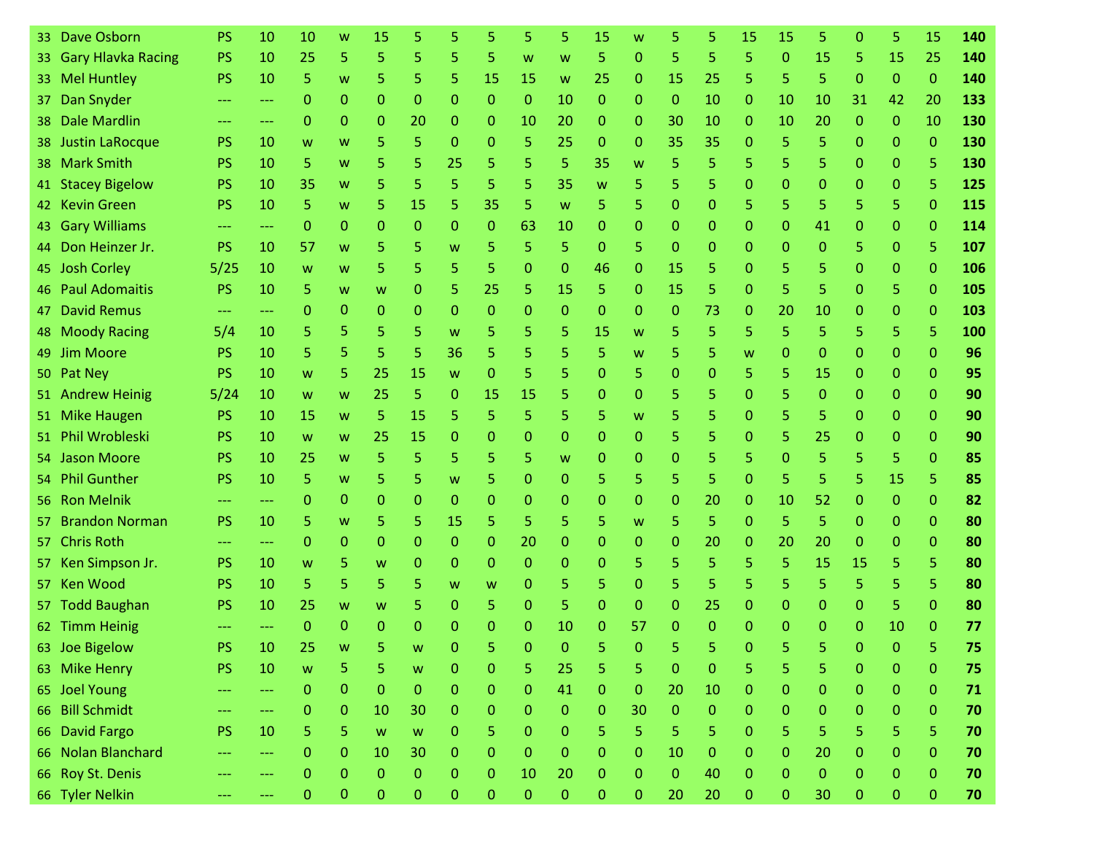| 33.             | Dave Osborn           | <b>PS</b> | 10  | 10           | W              | 15             | 5              |              | 5              | 5                | 5              | 15           | w            | 5            | 5            | 15           | 15           | 5                | $\Omega$     | 5            | 15           | 140 |
|-----------------|-----------------------|-----------|-----|--------------|----------------|----------------|----------------|--------------|----------------|------------------|----------------|--------------|--------------|--------------|--------------|--------------|--------------|------------------|--------------|--------------|--------------|-----|
|                 | 33 Gary Hlavka Racing | PS        | 10  | 25           | 5              | 5              | 5              | 5            | 5              | W                | W              | 5            | $\mathbf{0}$ | 5            | 5            | 5.           | $\Omega$     | 15               | 5            | 15           | 25           | 140 |
|                 | 33 Mel Huntley        | <b>PS</b> | 10  | 5            | W              | 5              | 5              | 5.           | 15             | 15               | W              | 25           | $\mathbf{0}$ | 15           | 25           | 5            | 5            | 5                | $\mathbf 0$  | $\mathbf{0}$ | $\mathbf{0}$ | 140 |
| 37.             | Dan Snyder            | $---$     | --- | $\Omega$     | $\mathbf{0}$   | $\Omega$       | 0              | $\Omega$     | $\Omega$       | $\mathbf{0}$     | 10             | $\Omega$     | $\Omega$     | $\Omega$     | 10           | $\mathbf{0}$ | 10           | 10               | 31           | 42           | 20           | 133 |
|                 | 38 Dale Mardlin       |           | --- | $\Omega$     | 0              | $\Omega$       | 20             | $\Omega$     | 0              | 10               | 20             | $\mathbf{0}$ | $\mathbf{0}$ | 30           | 10           | $\mathbf{0}$ | 10           | 20               | $\mathbf{0}$ | $\mathbf{0}$ | 10           | 130 |
|                 | 38 Justin LaRocque    | <b>PS</b> | 10  | W            | W              | 5              | 5              | $\Omega$     | 0              | 5                | 25             | $\mathbf{0}$ | $\Omega$     | 35           | 35           | $\mathbf{0}$ | 5            | 5                | $\mathbf{0}$ | $\mathbf{0}$ | $\mathbf{0}$ | 130 |
|                 | 38 Mark Smith         | <b>PS</b> | 10  | 5            | W              | 5              | 5              | 25           | 5              | 5                | 5              | 35           | W            | 5            | 5            | 5            | 5            | 5                | $\mathbf{0}$ | $\Omega$     | 5            | 130 |
|                 | 41 Stacey Bigelow     | <b>PS</b> | 10  | 35           | W              | 5              | 5              | 5            | 5              | 5                | 35             | W            | 5            | 5            | 5            | 0            | 0            | $\mathbf{0}$     | $\mathbf{0}$ | $\mathbf{0}$ | 5            | 125 |
|                 | 42 Kevin Green        | <b>PS</b> | 10  | 5.           | W              | 5              | 15             | 5            | 35             | 5                | W              | 5.           | 5            | $\mathbf{0}$ | 0            | 5.           | 5            | 5                | 5            | 5            | $\mathbf{0}$ | 115 |
|                 | 43 Gary Williams      |           | --- | $\Omega$     | 0              | $\mathbf{0}$   | 0              | $\Omega$     | $\mathbf{0}$   | 63               | 10             | $\mathbf{0}$ | $\Omega$     | $\mathbf{0}$ | 0            | $\mathbf{0}$ | 0            | 41               | $\mathbf{0}$ | $\mathbf{0}$ | $\mathbf{0}$ | 114 |
|                 | 44 Don Heinzer Jr.    | PS        | 10  | 57           | W              | 5              | 5              | W            | 5              | 5                | 5              | $\mathbf{0}$ | 5            | $\mathbf{0}$ | 0            | $\mathbf{0}$ | $\mathbf{0}$ | $\mathbf{0}$     | 5            | $\mathbf{0}$ | 5            | 107 |
|                 | 45 Josh Corley        | 5/25      | 10  | W            | W              | 5              | 5              | 5            | 5              | $\Omega$         | 0              | 46           | $\mathbf{0}$ | 15           | 5            | $\mathbf{0}$ | 5            | 5                | $\Omega$     | 0            | $\mathbf{0}$ | 106 |
|                 | 46 Paul Adomaitis     | <b>PS</b> | 10  | 5            | W              | W              | 0              | 5            | 25             | 5                | 15             | 5            | $\Omega$     | 15           | 5            | $\mathbf{0}$ | 5            | 5                | $\Omega$     | 5            | $\mathbf{0}$ | 105 |
| 47              | <b>David Remus</b>    | $---$     | --- | $\Omega$     | 0              | $\Omega$       | 0              | $\Omega$     | $\mathbf{0}$   | $\Omega$         | $\mathbf 0$    | $\mathbf{0}$ | $\mathbf{0}$ | $\mathbf{0}$ | 73           | $\mathbf{0}$ | 20           | 10               | 0            | $\mathbf{0}$ | $\mathbf{0}$ | 103 |
|                 | 48 Moody Racing       | 5/4       | 10  | 5            | 5              | 5              | 5              | W            | 5              | 5                | 5              | 15           | W            | 5            | 5            | 5            | 5            | 5                | 5            | 5            | 5            | 100 |
|                 | 49 Jim Moore          | <b>PS</b> | 10  | 5            | 5              | 5              | 5              | 36           | 5              | 5                | 5              | 5            | W            | 5            | 5            | W            | 0            | $\Omega$         | $\Omega$     | $\Omega$     | $\mathbf{0}$ | 96  |
|                 | 50 Pat Ney            | PS        | 10  | W            | 5              | 25             | 15             | W            | $\mathbf{0}$   | 5                | 5              | $\mathbf{0}$ | 5            | $\mathbf 0$  | 0            | 5            | 5            | 15               | $\mathbf{0}$ | $\mathbf 0$  | $\mathbf{0}$ | 95  |
|                 | 51 Andrew Heinig      | 5/24      | 10  | W            | W              | 25             | 5              | $\Omega$     | 15             | 15               | 5              | $\mathbf{0}$ | $\Omega$     | 5            | 5            | $\mathbf{0}$ | 5            | $\mathbf{0}$     | $\Omega$     | $\Omega$     | $\mathbf{0}$ | 90  |
|                 | 51 Mike Haugen        | <b>PS</b> | 10  | 15           | W              | 5              | 15             | 5            | 5              | 5                | 5              | 5            | W            | 5            | 5            | $\mathbf{0}$ | 5            | 5                | $\mathbf 0$  | $\mathbf{0}$ | $\mathbf{0}$ | 90  |
| 51.             | Phil Wrobleski        | <b>PS</b> | 10  | W            | W              | 25             | 15             | 0            | 0              | $\mathbf 0$      | 0              | $\mathbf{0}$ | $\mathbf{0}$ | 5            | 5            | 0            | 5            | 25               | $\Omega$     | $\Omega$     | $\mathbf{0}$ | 90  |
| 54.             | <b>Jason Moore</b>    | <b>PS</b> | 10  | 25           | W              | 5              | 5              | 5.           | 5              | 5                | W              | $\mathbf{0}$ | $\mathbf{0}$ | $\mathbf{0}$ | 5            | 5            | $\mathbf{0}$ | 5                | 5            | 5            | $\mathbf{0}$ | 85  |
| 54 <sup>2</sup> | <b>Phil Gunther</b>   | <b>PS</b> | 10  | 5.           | W              | 5              | 5              | W            | 5              | $\mathbf{0}$     | $\Omega$       | 5            | 5            | 5            | 5            | $\mathbf{0}$ | 5            | 5                | 5            | 15           | 5            | 85  |
|                 | 56 Ron Melnik         |           | --- | $\Omega$     | 0              | $\Omega$       | 0              | $\Omega$     | $\mathbf{0}$   | 0                | 0              | $\mathbf{0}$ | $\mathbf{0}$ | $\mathbf{0}$ | 20           | $\mathbf{0}$ | 10           | 52               | $\mathbf{0}$ | $\mathbf{0}$ | $\mathbf{0}$ | 82  |
| 57.             | <b>Brandon Norman</b> | <b>PS</b> | 10  | 5            | W              | 5              | 5              | 15           | 5              | 5                | 5              | 5            | W            | 5            | 5            | $\mathbf{0}$ | 5            | 5                | $\mathbf{0}$ | $\mathbf{0}$ | $\mathbf{0}$ | 80  |
|                 | 57 Chris Roth         | ---       | --- | $\Omega$     | $\mathbf{0}$   | $\Omega$       | 0              | $\Omega$     | $\mathbf{0}$   | 20               | $\mathbf{0}$   | $\mathbf{0}$ | $\mathbf{0}$ | $\mathbf{0}$ | 20           | 0            | 20           | 20               | $\mathbf{0}$ | $\Omega$     | $\mathbf{0}$ | 80  |
|                 | 57 Ken Simpson Jr.    | <b>PS</b> | 10  | W            | 5              | W              | 0              | $\Omega$     | $\mathbf{0}$   | $\mathbf{0}$     | $\mathbf 0$    | $\mathbf{0}$ | 5            | 5            | 5            | 5.           | 5            | 15               | 15           | 5            | 5            | 80  |
|                 | 57 Ken Wood           | <b>PS</b> | 10  | 5.           | 5              | 5              | 5              | W            | W              | 0                | 5              | 5            | $\Omega$     | 5            | 5            | 5.           | 5            | 5                | 5            | 5            | 5            | 80  |
|                 | 57 Todd Baughan       | <b>PS</b> | 10  | 25           | W              | W              | 5              | $\Omega$     | 5              | $\Omega$         | 5              | $\Omega$     | $\Omega$     | $\mathbf{0}$ | 25           | $\mathbf{0}$ | $\Omega$     | $\mathbf{0}$     | $\Omega$     | 5            | $\Omega$     | 80  |
|                 | 62 Timm Heinig        |           |     | $\Omega$     | $\Omega$       | $\Omega$       | 0              | n            | o              | O                | 10             | 0            | 57           | $\Omega$     | O            | 0            | n            | $\Omega$         | $\Omega$     | 10           | $\Omega$     | 77  |
|                 | 63 Joe Bigelow        | PS        | 10  | 25           | W              | к.             | <b>W</b>       | $\mathbf 0$  |                | $\mathbf 0$      | $\mathbf 0$    | 5            | $\Omega$     | 5.           | 5            | $\mathbf{0}$ |              | 5                | $\mathbf{0}$ | $\mathbf 0$  | 5            | 75  |
|                 | 63 Mike Henry         | <b>PS</b> | 10  | W            | 5              | 5              | W              | 0            | 0              | 5                | 25             | 5            | 5            | $\mathbf 0$  | 0            | 5            | 5            | 5                | $\mathbf{0}$ | $\mathbf{0}$ | $\mathbf{0}$ | 75  |
|                 | 65 Joel Young         | $---$     | --- | $\mathbf 0$  | $\overline{0}$ | $\overline{0}$ | $\mathbf{0}$   | $\mathbf{0}$ | 0              | $\pmb{0}$        | 41             | $\pmb{0}$    | $\mathbf{0}$ | 20           | 10           | $\mathbf{0}$ | $\mathbf{0}$ | $\boldsymbol{0}$ | $\pmb{0}$    | $\mathbf 0$  | $\mathbf{0}$ | 71  |
|                 | 66 Bill Schmidt       | ---       | --- | $\mathbf{0}$ | $\mathbf{0}$   | 10             | 30             | $\mathbf{0}$ | 0              | $\boldsymbol{0}$ | $\mathbf{0}$   | $\mathbf{0}$ | 30           | $\mathbf{0}$ | $\mathbf{0}$ | $\mathbf{0}$ | $\mathbf{0}$ | $\mathbf{0}$     | $\mathbf{0}$ | $\mathbf{0}$ | $\mathbf{O}$ | 70  |
|                 | 66 David Fargo        | <b>PS</b> | 10  | 5            | 5              | W              | $\mathsf{W}$   | $\mathbf{0}$ | 5              | $\boldsymbol{0}$ | 0              | 5            | 5            | 5            | 5            | $\mathbf{0}$ | 5            | 5                | 5            | 5            | 5            | 70  |
|                 | 66 Nolan Blanchard    | ---       | --- | $\mathbf 0$  | $\overline{0}$ | 10             | 30             | $\mathbf{0}$ | $\mathbf{0}$   | $\boldsymbol{0}$ | $\mathbf{0}$   | $\mathbf 0$  | $\mathbf{0}$ | 10           | $\mathbf{0}$ | $\mathbf{0}$ | $\mathbf{0}$ | 20               | $\mathbf{0}$ | $\mathbf{0}$ | $\mathbf{0}$ | 70  |
|                 | 66 Roy St. Denis      |           | --- | $\mathbf{0}$ | 0              | $\mathbf{0}$   | $\overline{0}$ | $\mathbf{0}$ | $\mathbf{0}$   | 10               | 20             | $\mathbf{0}$ | $\mathbf{0}$ | $\pmb{0}$    | 40           | $\mathbf{0}$ | $\mathbf{0}$ | $\bf 0$          | $\mathbf{0}$ | 0            | $\mathbf{0}$ | 70  |
|                 | 66 Tyler Nelkin       |           | --- | $\mathbf 0$  | $\overline{0}$ | $\mathbf{0}$   | $\overline{0}$ | $\mathbf{0}$ | $\overline{0}$ | $\pmb{0}$        | $\overline{0}$ | $\pmb{0}$    | $\mathbf{O}$ | 20           | 20           | $\mathbf 0$  | $\mathbf{O}$ | 30               | $\mathbf{0}$ | $\mathbf{0}$ | $\mathbf{0}$ | 70  |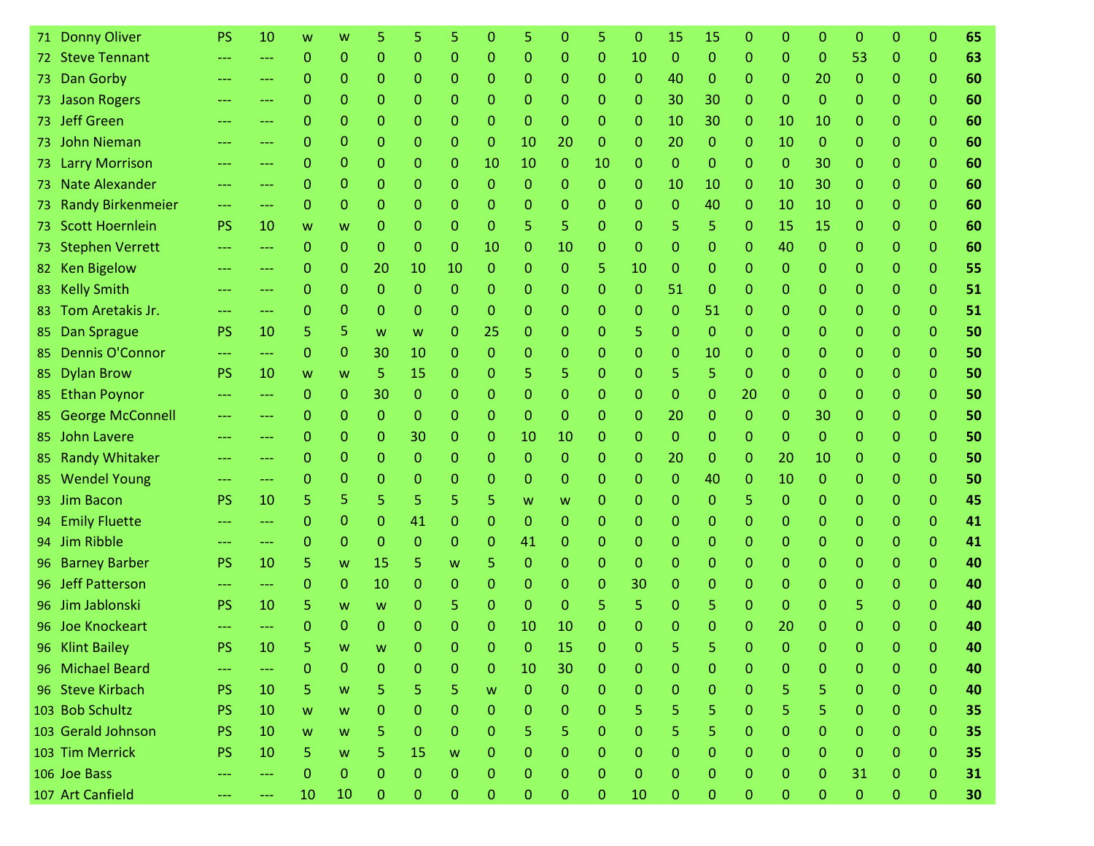| 71. | <b>Donny Oliver</b>    | <b>PS</b> | 10  | w            | w              |              | 5              |              | 0            | 5                       | 0            | 5            | 0            | 15           | 15       | Ω              | 0              | 0            | 0            | 0            | 0            | 65 |
|-----|------------------------|-----------|-----|--------------|----------------|--------------|----------------|--------------|--------------|-------------------------|--------------|--------------|--------------|--------------|----------|----------------|----------------|--------------|--------------|--------------|--------------|----|
|     | 72 Steve Tennant       | $---$     | --- | $\mathbf{0}$ | 0              | $\mathbf{0}$ | 0              | 0            | 0            | $\mathbf 0$             | 0            | $\mathbf{0}$ | 10           | $\mathbf 0$  | $\Omega$ | 0              | $\Omega$       | $\Omega$     | 53           | $\mathbf{0}$ | $\mathbf{O}$ | 63 |
|     | 73 Dan Gorby           |           | --- | 0            | 0              | $\Omega$     | 0              | 0            | 0            | 0                       | 0            | $\mathbf 0$  | 0            | 40           | 0        | 0              | $\Omega$       | 20           | 0            | 0            | $\mathbf{0}$ | 60 |
|     | 73 Jason Rogers        |           | --- | $\Omega$     | $\overline{0}$ | $\Omega$     | 0              | 0            | 0            | 0                       | 0            | $\mathbf{0}$ | $\Omega$     | 30           | 30       | 0              | $\Omega$       | $\Omega$     | $\Omega$     | $\Omega$     | $\mathbf{0}$ | 60 |
|     | 73 Jeff Green          |           |     | 0            | 0              | $\Omega$     | 0              | 0            | 0            | $\Omega$                | 0            | 0            | $\Omega$     | 10           | 30       | 0              | 10             | 10           | 0            | $\Omega$     | $\Omega$     | 60 |
|     | 73 John Nieman         |           | --- | $\Omega$     | 0              | $\Omega$     | 0              | 0            | 0            | 10                      | 20           | $\mathbf{0}$ | 0            | 20           | 0        | 0              | 10             | $\mathbf 0$  | $\mathbf{0}$ | $\mathbf{0}$ | $\mathbf{O}$ | 60 |
|     | 73 Larry Morrison      | ---       | --- | 0            | 0              | $\mathbf{0}$ | 0              | 0            | 10           | 10                      | 0            | 10           | 0            | $\mathbf 0$  | 0        | 0              | 0              | 30           | 0            | $\mathbf{0}$ | $\mathbf{0}$ | 60 |
|     | 73 Nate Alexander      |           | --- | 0            | 0              | 0            | 0              | 0            | 0            | $\mathbf{0}$            | 0            | $\mathbf{0}$ | $\Omega$     | 10           | 10       | 0              | 10             | 30           | 0            | $\mathbf{0}$ | $\mathbf{O}$ | 60 |
|     | 73 Randy Birkenmeier   | $---$     | --- | 0            | 0              | $\Omega$     | $\Omega$       | 0            | 0            | $\Omega$                | 0            | 0            | $\Omega$     | $\mathbf{0}$ | 40       | 0              | 10             | 10           | 0            | $\Omega$     | $\mathbf{0}$ | 60 |
|     | 73 Scott Hoernlein     | <b>PS</b> | 10  | W            | W              | 0            | 0              | 0            | 0            | 5                       | 5            | 0            | 0            | 5            | 5        | 0              | 15             | 15           | 0            | $\mathbf{0}$ | $\mathbf{O}$ | 60 |
|     | 73 Stephen Verrett     |           | --- | $\mathbf{0}$ | $\mathbf{0}$   | $\Omega$     | $\Omega$       | 0            | 10           | $\mathbf 0$             | 10           | $\mathbf 0$  | $\Omega$     | $\mathbf 0$  | 0        | 0              | 40             | $\Omega$     | 0            | $\Omega$     | $\mathbf{0}$ | 60 |
|     | 82 Ken Bigelow         |           | --- | 0            | 0              | 20           | 10             | 10           | 0            | $\mathbf{0}$            | 0            | 5            | 10           | $\mathbf{0}$ | 0        | 0              | $\Omega$       | $\Omega$     | 0            | $\mathbf{0}$ | $\mathbf{0}$ | 55 |
|     | 83 Kelly Smith         | ---       | --- | $\Omega$     | 0              | $\Omega$     | $\Omega$       | 0            | 0            | 0                       | 0            | $\mathbf{0}$ | $\mathbf{0}$ | 51           | 0        | 0              | 0              | 0            | 0            | $\Omega$     | $\mathbf{0}$ | 51 |
|     | 83 Tom Aretakis Jr.    | ---       | --- | 0            | 0              | 0            | 0              | 0            | 0            | 0                       | 0            | 0            | 0            | $\mathbf{0}$ | 51       | 0              | 0              | 0            | 0            | 0            | $\mathbf{0}$ | 51 |
| 85  | Dan Sprague            | <b>PS</b> | 10  | 5            | 5.             | W            | W              | 0            | 25           | 0                       | 0            | $\mathbf{0}$ | 5            | $\Omega$     | 0        | $\Omega$       | 0              | $\Omega$     | 0            | $\Omega$     | $\mathbf{0}$ | 50 |
| 85  | <b>Dennis O'Connor</b> | ---       | --- | $\Omega$     | 0              | 30           | 10             | 0            | 0            | $\Omega$                | 0            | 0            | $\Omega$     | $\Omega$     | 10       | 0              | 0              | 0            | 0            | $\Omega$     | $\Omega$     | 50 |
| 85  | <b>Dylan Brow</b>      | <b>PS</b> | 10  | W            | W              | 5            | 15             | 0            | 0            | 5                       | 5            | 0            | $\Omega$     | 5            | 5        | 0              | 0              | 0            | $\mathbf{0}$ | $\mathbf{0}$ | $\mathbf{O}$ | 50 |
|     | 85 Ethan Poynor        |           | --- | $\Omega$     | 0              | 30           | 0              | 0            | 0            | $\Omega$                | 0            | $\Omega$     | $\Omega$     | $\Omega$     | 0        | 20             | 0              | $\Omega$     | 0            | $\Omega$     | $\mathbf{0}$ | 50 |
|     | 85 George McConnell    |           | --- | $\Omega$     | 0              | $\mathbf{0}$ | $\Omega$       | 0            | 0            | $\mathbf 0$             | $\Omega$     | $\mathbf{0}$ | $\mathbf{O}$ | 20           | 0        | 0              | 0              | 30           | 0            | $\mathbf{0}$ | $\mathbf{0}$ | 50 |
|     | 85 John Lavere         |           | --- | 0            | 0              | $\Omega$     | 30             | 0            | 0            | 10                      | 10           | 0            | $\Omega$     | $\Omega$     | $\Omega$ | 0              | $\Omega$       | $\Omega$     | $\Omega$     | $\Omega$     | $\mathbf{0}$ | 50 |
|     | 85 Randy Whitaker      |           | --- | 0            | 0              | $\Omega$     | 0              | 0            | 0            | $\mathbf{0}$            | 0            | 0            | 0            | 20           | 0        | 0              | 20             | 10           | 0            | $\mathbf{0}$ | $\mathbf{O}$ | 50 |
|     | 85 Wendel Young        | $---$     | --- | 0            | 0              | $\Omega$     | 0              | 0            | 0            | 0                       | 0            | $\mathbf 0$  | $\Omega$     | $\mathbf{0}$ | 40       | 0              | 10             | $\mathbf 0$  | $\Omega$     | $\Omega$     | $\mathbf{0}$ | 50 |
|     | 93 Jim Bacon           | <b>PS</b> | 10  | 5            | 5              | 5            | 5              | 5.           | 5.           | W                       | W            | 0            | 0            | $\mathbf{0}$ | 0        | 5              | $\Omega$       | $\Omega$     | 0            | 0            | $\mathbf{0}$ | 45 |
|     | 94 Emily Fluette       |           | --- | 0            | 0              | $\Omega$     | 41             | 0            | 0            | $\Omega$                | 0            | $\mathbf{0}$ | $\Omega$     | $\mathbf{0}$ | 0        | 0              | 0              | 0            | 0            | $\Omega$     | $\Omega$     | 41 |
|     | 94 Jim Ribble          |           | --- | 0            | 0              | $\Omega$     | 0              | 0            | 0            | 41                      | 0            | $\mathbf 0$  | 0            | $\Omega$     | 0        | 0              | 0              | 0            | 0            | 0            | $\mathbf{0}$ | 41 |
|     | 96 Barney Barber       | <b>PS</b> | 10  | 5            | W              | 15           | 5              | W            | 5            | $\mathbf 0$             | 0            | $\mathbf{0}$ | $\Omega$     | $\Omega$     | 0        | 0              | $\Omega$       | 0            | 0            | $\Omega$     | $\mathbf{0}$ | 40 |
|     | 96 Jeff Patterson      |           | --- | 0            | 0              | 10           | 0              | 0            | 0            | $\mathbf{0}$            | 0            | 0            | 30           | $\Omega$     | 0        | 0              | 0              | 0            | 0            | 0            | $\Omega$     | 40 |
|     | 96 Jim Jablonski       | <b>PS</b> | 10  | 5.           | W              | W            | 0              | 5.           | 0            | $\Omega$                | 0            | 5            | 5            | $\Omega$     | 5        | 0              | $\Omega$       | 0            | 5            | $\Omega$     | $\Omega$     | 40 |
|     | 96 Joe Knockeart       |           |     | n            | 0              | $\Omega$     | 0              | n            | 0            | 10                      | 10           | 0            | n            | 0            | O        | 0              | 20             | 0            | O            | O            | 0            | 40 |
|     | 96 Klint Bailey        | <b>PS</b> | 10  |              | <b>W</b>       | <b>W</b>     | $\overline{0}$ | $\mathbf{0}$ | $\mathbf{0}$ | $\overline{\mathbf{0}}$ | 15           | $\mathbf 0$  |              |              |          | $\overline{0}$ | $\overline{0}$ | $\mathbf{0}$ | $\mathbf{0}$ | $\mathbf 0$  | $\mathbf{0}$ | 40 |
|     | 96 Michael Beard       |           | --- | 0            | 0              | 0            | 0              | 0            | 0            | 10                      | 30           | $\mathbf{0}$ | 0            | 0            | 0        | 0              | $\Omega$       | 0            | 0            | $\Omega$     | 0            | 40 |
|     | 96 Steve Kirbach       | <b>PS</b> | 10  | 5            | W              | 5            | 5              | 5            | W            | $\pmb{0}$               | $\mathbf{0}$ | $\bf 0$      | $\mathbf{O}$ | $\bf 0$      | 0        | 0              | 5              | 5            | $\mathbf{0}$ | $\mathbf{0}$ | $\mathbf 0$  | 40 |
|     | 103 Bob Schultz        | <b>PS</b> | 10  | W            | W              | 0            | $\overline{0}$ | 0            | 0            | $\mathbf{0}$            | 0            | $\mathbf{0}$ | 5            | 5            | 5.       | 0              | 5              | 5            | $\mathbf{0}$ | $\mathbf{0}$ | $\mathbf{O}$ | 35 |
|     | 103 Gerald Johnson     | <b>PS</b> | 10  | W            | W              | 5            | 0              | 0            | 0            | 5                       | 5            | $\mathbf{0}$ | 0            | 5            | 5        | 0              | 0              | 0            | 0            | $\mathbf{0}$ | $\mathbf{O}$ | 35 |
|     | 103 Tim Merrick        | <b>PS</b> | 10  | 5            | W              | 5            | 15             | W            | 0            | $\mathbf 0$             | 0            | $\mathbf 0$  | 0            | $\bf 0$      | $\Omega$ | 0              | 0              | $\mathbf{0}$ | $\mathbf{0}$ | $\mathbf{0}$ | $\mathbf{0}$ | 35 |
|     | 106 Joe Bass           |           | --- | $\mathbf{0}$ | 0              | $\Omega$     | $\overline{0}$ | 0            | 0            | $\mathbf{0}$            | 0            | $\bf 0$      | 0            | $\mathbf{0}$ | 0        | 0              | 0              | $\mathbf{0}$ | 31           | $\mathbf{0}$ | 0            | 31 |
|     | 107 Art Canfield       |           | --- | 10           | 10             | $\mathbf{0}$ | 0              | 0            | 0            | $\mathbf 0$             | 0            | $\bf 0$      | 10           | $\mathbf 0$  | 0        | 0              | 0              | $\mathbf{0}$ | $\mathbf 0$  | $\mathbf{0}$ | $\mathbf{0}$ | 30 |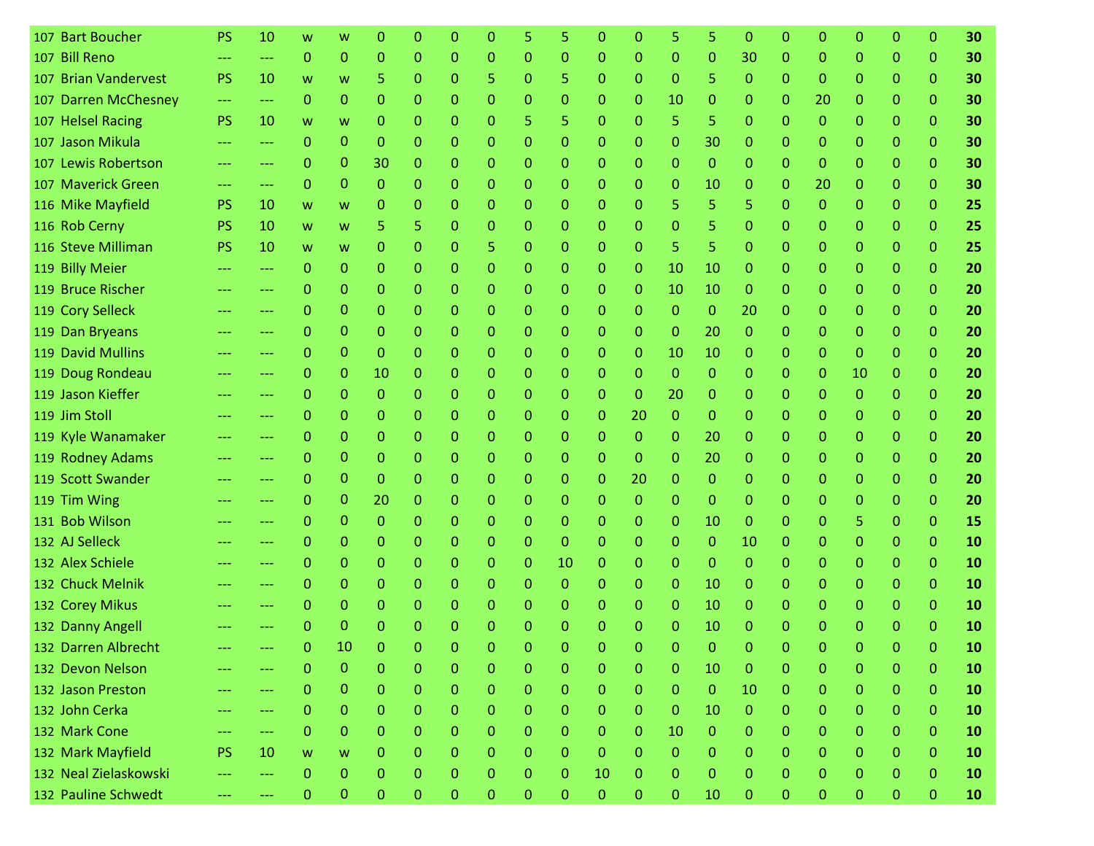| 107 Bart Boucher      | PS        | 10    | w            | w                | O            | O              | ი              | O            |              | 5            | 0            | 0            | 5            | 5              | Ω            | 0            | O            | O            | 0            | 0              | 30 |
|-----------------------|-----------|-------|--------------|------------------|--------------|----------------|----------------|--------------|--------------|--------------|--------------|--------------|--------------|----------------|--------------|--------------|--------------|--------------|--------------|----------------|----|
| 107 Bill Reno         |           | ---   | $\Omega$     | 0                | $\Omega$     | 0              | 0              | 0            | 0            | 0            | 0            | $\Omega$     | $\Omega$     | $\Omega$       | 30           | $\Omega$     | 0            | 0            | $\Omega$     | $\Omega$       | 30 |
| 107 Brian Vandervest  | <b>PS</b> | 10    | W            | W                | 5            | 0              | 0              | 5            | 0            | 5            | 0            | 0            | $\mathbf{0}$ | 5.             | $\mathbf{0}$ | 0            | 0            | 0            | $\Omega$     | $\Omega$       | 30 |
| 107 Darren McChesney  | ---       | ---   | $\Omega$     | 0                | 0            | 0              | 0              | 0            | 0            | 0            | 0            | 0            | 10           | 0              | 0            | 0            | 20           | 0            | $\mathbf{0}$ | $\mathbf{0}$   | 30 |
| 107 Helsel Racing     | <b>PS</b> | 10    | W            | W                | 0            | 0              | 0              | 0            | 5            | 5            | 0            | 0            | 5            | 5.             | 0            | 0            | 0            | 0            | $\Omega$     | $\Omega$       | 30 |
| 107 Jason Mikula      |           | ---   | $\mathbf{0}$ | 0                | $\Omega$     | 0              | 0              | 0            | 0            | 0            | 0            | 0            | $\mathbf{0}$ | 30             | 0            | 0            | 0            | 0            | $\mathbf{0}$ | $\mathbf{0}$   | 30 |
| 107 Lewis Robertson   |           | ---   | 0            | 0                | 30           | 0              | 0              | 0            | 0            | 0            | $\mathbf{0}$ | $\Omega$     | $\Omega$     | $\Omega$       | 0            | 0            | 0            | 0            | $\Omega$     | $\Omega$       | 30 |
| 107 Maverick Green    | ---       | ---   | $\mathbf{0}$ | 0                | $\Omega$     | 0              | 0              | 0            | 0            | 0            | 0            | 0            | 0            | 10             | 0            | 0            | 20           | 0            | $\mathbf{0}$ | $\Omega$       | 30 |
| 116 Mike Mayfield     | <b>PS</b> | 10    | W            | W                | $\mathbf{0}$ | 0              | 0              | 0            | 0            | 0            | 0            | $\Omega$     | 5            | 5.             | 5.           | $\mathbf{0}$ | 0            | 0            | $\Omega$     | $\Omega$       | 25 |
| 116 Rob Cerny         | <b>PS</b> | 10    | W            | W                | 5            | 5              | 0              | 0            | 0            | 0            | 0            | 0            | $\mathbf{0}$ | 5              | 0            | 0            | 0            | 0            | 0            | $\mathbf{0}$   | 25 |
| 116 Steve Milliman    | <b>PS</b> | 10    | W            | W                | $\mathbf{0}$ | 0              | 0              | 5            | 0            | 0            | 0            | $\Omega$     | 5            | 5              | 0            | 0            | 0            | 0            | 0            | $\mathbf{0}$   | 25 |
| 119 Billy Meier       |           | ---   | 0            | 0                | 0            | 0              | 0              | 0            | 0            | 0            | 0            | $\mathbf{0}$ | 10           | 10             | 0            | 0            | 0            | 0            | 0            | 0              | 20 |
| 119 Bruce Rischer     | ---       | ---   | 0            | 0                | $\Omega$     | 0              | 0              | 0            | 0            | 0            | 0            | $\mathbf{0}$ | 10           | 10             | $\mathbf{0}$ | 0            | 0            | 0            | $\Omega$     | $\Omega$       | 20 |
| 119 Cory Selleck      | ---       | ---   | 0            | 0                | 0            | 0              | 0              | 0            | 0            | 0            | 0            | $\mathbf{0}$ | $\mathbf{0}$ | $\Omega$       | 20           | 0            | 0            | 0            | $\Omega$     | $\Omega$       | 20 |
| 119 Dan Bryeans       |           | ---   | 0            | 0                | $\Omega$     | 0              | 0              | 0            | 0            | 0            | 0            | $\Omega$     | $\mathbf{0}$ | 20             | 0            | 0            | 0            | 0            | $\Omega$     | $\Omega$       | 20 |
| 119 David Mullins     |           | ---   | 0            | 0                | $\Omega$     | 0              | 0              | 0            | 0            | 0            | 0            | $\mathbf{0}$ | 10           | 10             | 0            | 0            | 0            | 0            | $\Omega$     | $\Omega$       | 20 |
| 119 Doug Rondeau      | ---       | ---   | 0            | 0                | 10           | 0              | 0              | 0            | 0            | 0            | 0            | 0            | $\mathbf 0$  | $\Omega$       | 0            | 0            | 0            | 10           | $\mathbf{0}$ | $\mathbf{0}$   | 20 |
| 119 Jason Kieffer     |           | ---   | 0            | 0                | $\mathbf{0}$ | 0              | 0              | 0            | 0            | 0            | 0            | $\Omega$     | 20           | $\Omega$       | 0            | 0            | 0            | $\Omega$     | $\Omega$     | $\mathbf{0}$   | 20 |
| 119 Jim Stoll         |           | ---   | $\mathbf{0}$ | 0                | $\Omega$     | 0              | 0              | 0            | 0            | 0            | 0            | 20           | $\mathbf{0}$ | $\Omega$       | 0            | 0            | 0            | 0            | $\mathbf{0}$ | $\mathbf{0}$   | 20 |
| 119 Kyle Wanamaker    |           | ---   | 0            | 0                | $\Omega$     | 0              | 0              | 0            | 0            | 0            | 0            | $\Omega$     | $\mathbf{0}$ | 20             | 0            | 0            | 0            | 0            | 0            | $\Omega$       | 20 |
| 119 Rodney Adams      |           | ---   | 0            | 0                | $\mathbf{0}$ | 0              | 0              | 0            | 0            | 0            | 0            | $\Omega$     | $\mathbf 0$  | 20             | 0            | 0            | 0            | 0            | $\Omega$     | $\mathbf{0}$   | 20 |
| 119 Scott Swander     |           | ---   | 0            | 0                | $\mathbf{0}$ | 0              | 0              | 0            | 0            | 0            | 0            | 20           | $\mathbf{0}$ | 0              | 0            | 0            | 0            | 0            | 0            | $\Omega$       | 20 |
| 119 Tim Wing          |           | ---   | 0            | 0                | 20           | 0              | 0              | 0            | 0            | 0            | 0            | $\mathbf{0}$ | $\mathbf 0$  | $\mathbf{0}$   | 0            | 0            | 0            | 0            | 0            | 0              | 20 |
| 131 Bob Wilson        |           | ---   | 0            | 0                | $\Omega$     | 0              | 0              | 0            | 0            | 0            | 0            | $\mathbf{0}$ | $\Omega$     | 10             | 0            | 0            | 0            | 5.           | $\Omega$     | $\Omega$       | 15 |
| 132 AJ Selleck        |           | ---   | 0            | 0                | $\Omega$     | 0              | 0              | 0            | 0            | 0            | 0            | 0            | 0            | 0              | 10           | 0            | 0            | 0            | $\Omega$     | $\Omega$       | 10 |
| 132 Alex Schiele      | ---       | ---   | $\mathbf{0}$ | 0                | $\mathbf{0}$ | 0              | 0              | 0            | 0            | 10           | 0            | $\Omega$     | $\Omega$     | $\Omega$       | $\Omega$     | 0            | 0            | 0            | 0            | $\Omega$       | 10 |
| 132 Chuck Melnik      | ---       | ---   | 0            | 0                | $\Omega$     | 0              | 0              | 0            | 0            | 0            | 0            | $\mathbf{0}$ | $\mathbf{0}$ | 10             | 0            | 0            | 0            | 0            | 0            | $\Omega$       | 10 |
| 132 Corey Mikus       |           |       | 0            | 0                | 0            | 0              | 0              | 0            | 0            | 0            | 0            | 0            | $\mathbf{0}$ | 10             | 0            | 0            | 0            | 0            | $\Omega$     | $\Omega$       | 10 |
| 132 Danny Angell      |           |       | Ω            | 0                | n            | 0              | O              | 0            |              | O            | O            | n            | 0            | 10             | 0            |              | O            | O            | 0            | 0              | 10 |
| 132 Darren Albrecht   |           |       | $\mathbf{0}$ | 10               | $\mathbf{0}$ | $\overline{0}$ | $\overline{0}$ | $\mathbf{0}$ | 0            | 0            | $\mathbf{0}$ | 0            | $\mathbf{0}$ | $\mathbf{0}$   | $\mathbf{0}$ | $\mathbf{0}$ | $\mathbf 0$  | 0            | $\mathbf 0$  | $\mathbf{0}$   | 10 |
| 132 Devon Nelson      |           |       | 0            | $\mathbf 0$      | $\mathbf{0}$ | 0              | 0              | 0            | $\mathbf 0$  | $\Omega$     | $\mathbf{0}$ | $\Omega$     | $\mathbf{0}$ | 10             | $\mathbf{0}$ | $\Omega$     | 0            | $\mathbf{0}$ | $\mathbf{0}$ | $\mathbf 0$    | 10 |
| 132 Jason Preston     | ---       | ---   | 0            | $\mathbf{0}$     | $\mathbf{0}$ | $\overline{0}$ | $\Omega$       | 0            | $\mathbf{0}$ | $\mathbf{0}$ | $\mathbf{0}$ | $\mathbf{0}$ | $\mathbf{0}$ | $\overline{0}$ | 10           | $\mathbf{0}$ | 0            | $\mathbf{O}$ | 0            | $\overline{0}$ | 10 |
| 132 John Cerka        | ---       | ---   | 0            | $\mathbf 0$      | $\mathbf{0}$ | $\Omega$       | $\Omega$       | 0            | $\mathbf{0}$ | $\Omega$     | $\mathbf{0}$ | $\Omega$     | $\mathbf{0}$ | 10             | $\mathbf{0}$ | $\Omega$     | 0            | $\mathbf{0}$ | $\mathbf{0}$ | $\mathbf{0}$   | 10 |
| 132 Mark Cone         | ---       | $---$ | 0            | $\boldsymbol{0}$ | $\mathbf 0$  | 0              | 0              | 0            | $\mathbf 0$  | $\Omega$     | $\mathbf{0}$ | $\mathbf{0}$ | 10           | $\Omega$       | 0            | $\mathbf{0}$ | 0            | $\mathbf{0}$ | $\mathbf{0}$ | $\mathbf{O}$   | 10 |
| 132 Mark Mayfield     | <b>PS</b> | 10    | W            | W                | $\mathbf{0}$ | 0              | 0              | 0            | $\mathbf{0}$ | $\Omega$     | $\mathbf{0}$ | $\Omega$     | $\mathbf{0}$ | $\Omega$       | $\mathbf{0}$ | $\mathbf{0}$ | 0            | $\mathbf{0}$ | $\mathbf{0}$ | $\mathbf{0}$   | 10 |
| 132 Neal Zielaskowski | ---       | ---   | 0            | $\boldsymbol{0}$ | $\mathbf{0}$ | $\mathbf{0}$   | 0              | $\mathbf{0}$ | $\Omega$     | $\Omega$     | 10           | $\Omega$     | $\mathbf{0}$ | $\Omega$       | $\mathbf{0}$ | $\Omega$     | $\mathbf{0}$ | $\Omega$     | $\mathbf{0}$ | $\mathbf{0}$   | 10 |
| 132 Pauline Schwedt   | ---       | ---   | 0            | $\boldsymbol{0}$ | $\mathbf{0}$ | $\mathbf{0}$   | 0              | $\mathbf{0}$ | $\mathbf{0}$ | $\mathbf{O}$ | $\mathbf 0$  | $\mathbf{0}$ | $\mathbf{0}$ | 10             | $\mathbf{0}$ | $\mathbf{0}$ | $\mathbf{0}$ | $\mathbf 0$  | 0            | $\mathbf{O}$   | 10 |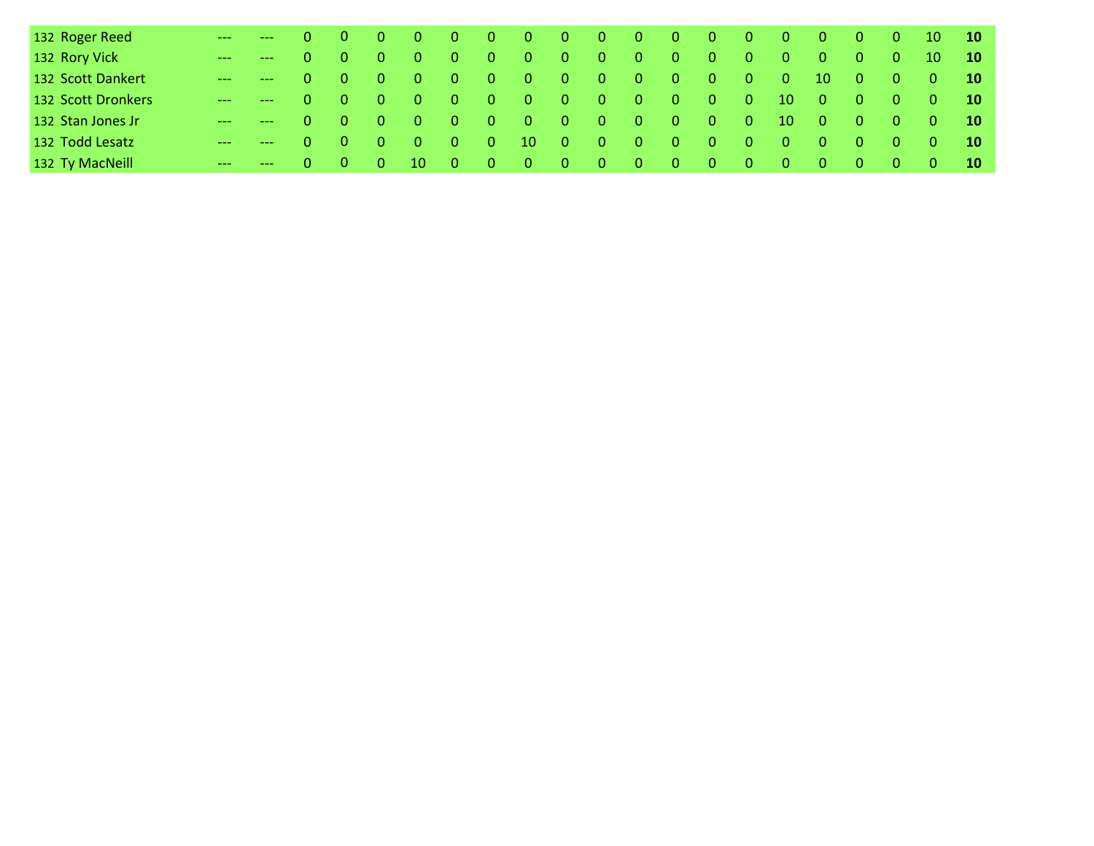| 132 Roger Reed     | $   0$ $0$            |                                        | - 0            | $\overline{\phantom{0}}$ 0 |       |             | $0$ 0 0 0 0 0 0 0 0 0 0 |        |       |     |     |                  |                                         |                                         |                          | <b>407</b>                              |                | $0 \t 10 \t 10$                         |                                  |
|--------------------|-----------------------|----------------------------------------|----------------|----------------------------|-------|-------------|-------------------------|--------|-------|-----|-----|------------------|-----------------------------------------|-----------------------------------------|--------------------------|-----------------------------------------|----------------|-----------------------------------------|----------------------------------|
| 132 Rory Vick      | $   0$ 0              |                                        | - 0 -          | - 0 -                      | - 0 - | $\bullet$ 0 | / O /                   | 70 D Z | - 0 - | - 0 | - 0 | $\Box$ 0 \       | - 0 -                                   | - 0 -                                   | - 0                      | $\overline{0}$                          | - 0            | 10 10                                   |                                  |
| 132 Scott Dankert  | $\longrightarrow$ 0 0 |                                        | - 0            | $\sim$ 0 $\sim$            |       |             | 0 0 0 0 0 0 0 0 0 0     |        |       |     |     |                  |                                         |                                         | $-10$                    | - 0                                     | - 0            | $\begin{array}{ccc} 0 & 10 \end{array}$ |                                  |
| 132 Scott Dronkers | $  0$ 0               |                                        | - 0            | - 0 -                      |       |             | 0 0 0 0 0 0 0           |        |       |     |     | - 0 -            | - 0 -                                   | $10\qquad 0$                            |                          | <b>407</b>                              | $\overline{0}$ | $\begin{array}{ccc} 0 & 10 \end{array}$ |                                  |
| 132 Stan Jones Jr  | $  0$ 0               |                                        | - 0 -          | - 0 -                      |       |             | 0 0 0 0 0 0 0           |        |       |     |     | $\blacksquare$ 0 | - 0 -                                   | $10 \quad 0$                            |                          | $\blacktriangle$ 0 $\blacktriangledown$ | - 0            | $\begin{array}{ccc} 0 & 10 \end{array}$ |                                  |
| 132 Todd Lesatz    |                       | $\begin{array}{ccc} 0 & 0 \end{array}$ | $\overline{0}$ | $\sim 0$                   |       |             |                         |        |       |     |     |                  |                                         |                                         | 0 0 10 0 0 0 0 0 0 0 0 0 |                                         | - 0            | $\begin{array}{ccc} 0 & 10 \end{array}$ |                                  |
| 132 Ty MacNeill    |                       | $0 \quad 0$                            | - 0 -          | $-10$                      |       |             | 0 0 0 0 0 0 0           |        |       |     |     | $\sim 0$         | $\blacktriangle$ 0 $\blacktriangledown$ | $\begin{array}{cccc} 0 & 0 \end{array}$ |                          | - 0                                     | - 0 -          | - 0                                     | $\blacksquare$ 10 $\blacksquare$ |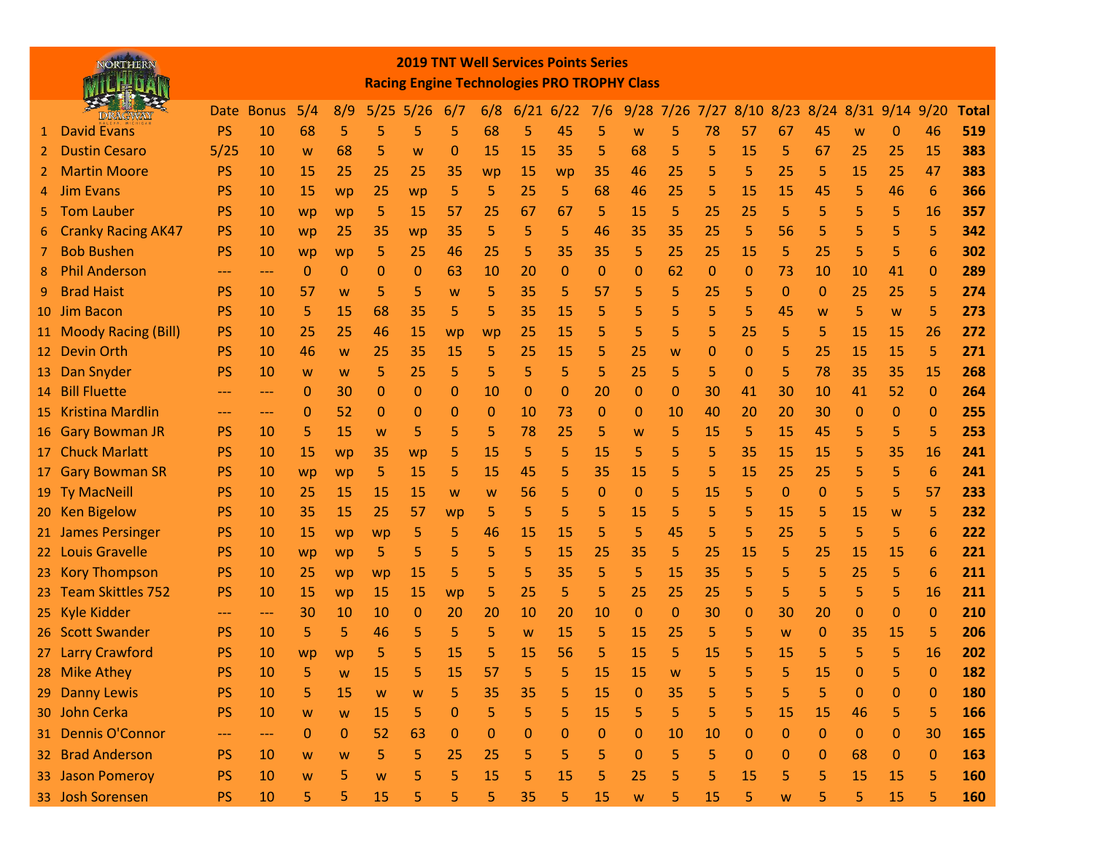|    | NORTHER?                  |           |            |              |              |           |      |              |             |             | <b>2019 TNT Well Services Points Series</b><br><b>Racing Engine Technologies PRO TROPHY Class</b> |              |              |    |           |              |          |               |              |              |                 |              |
|----|---------------------------|-----------|------------|--------------|--------------|-----------|------|--------------|-------------|-------------|---------------------------------------------------------------------------------------------------|--------------|--------------|----|-----------|--------------|----------|---------------|--------------|--------------|-----------------|--------------|
|    |                           |           | Date Bonus | 5/4          | 8/9          | 5/25      | 5/26 | 6/7          | 6/8         | 6/21        | 6/22                                                                                              | 7/6          | $9/28$ 7/26  |    | 7/27      | 8/10         | 8/23     | $8/24$ $8/31$ |              | $9/14$ 9/20  |                 | <b>Total</b> |
| 1  | <b>David Evans</b>        | PS        | 10         | 68           | 5            | 5         | 5    | 5            | 68          | 5           | 45                                                                                                | 5            | W            | 5  | 78        | 57           | 67       | 45            | W            | 0            | 46              | 519          |
| 2  | <b>Dustin Cesaro</b>      | 5/25      | 10         | W            | 68           | 5         | W    | 0            | 15          | <b>15</b>   | 35                                                                                                | 5            | 68           | 5  | 5         | 15           | 5        | 67            | 25           | 25           | 15              | 383          |
|    | <b>Martin Moore</b>       | <b>PS</b> | 10         | 15           | 25           | 25        | 25   | 35           | wp          | 15          | wp                                                                                                | 35           | 46           | 25 | 5         | 5            | 25       | 5             | 15           | 25           | 47              | 383          |
| 4  | <b>Jim Evans</b>          | <b>PS</b> | 10         | 15           | wp           | 25        | wp   | 5            | 5           | 25          | 5                                                                                                 | 68           | 46           | 25 | 5         | 15           | 15       | 45            | 5            | 46           | 6               | 366          |
|    | <b>Tom Lauber</b>         | <b>PS</b> | 10         | wp           | wp           | 5         | 15   | 57           | 25          | 67          | 67                                                                                                | 5            | 15           | 5  | 25        | 25           | 5        | 5             | 5            | 5            | 16              | 357          |
| 6  | <b>Cranky Racing AK47</b> | <b>PS</b> | 10         | wp           | 25           | 35        | wp   | 35           | 5           | 5           | 5                                                                                                 | 46           | 35           | 35 | 25        | 5            | 56       | 5             | 5            | 5            | 5               | 342          |
|    | <b>Bob Bushen</b>         | <b>PS</b> | <b>10</b>  | wp           | wp           | 5         | 25   | 46           | 25          | 5           | 35                                                                                                | 35           | 5            | 25 | 25        | 15           | 5        | 25            | 5            | 5            | 6               | 302          |
| 8  | <b>Phil Anderson</b>      | ---       | ---        | $\mathbf{0}$ | 0            | 0         | 0    | 63           | 10          | 20          | $\Omega$                                                                                          | $\mathbf 0$  | $\mathbf 0$  | 62 | 0         | 0            | 73       | 10            | 10           | 41           | $\mathbf 0$     | 289          |
| 9  | <b>Brad Haist</b>         | <b>PS</b> | 10         | 57           | W            | 5         | 5    | W            | 5           | 35          | 5                                                                                                 | 57           | 5            | 5  | 25        | 5            | 0        | $\mathbf{0}$  | 25           | 25           | 5               | 274          |
|    | 10 Jim Bacon              | <b>PS</b> | 10         | 5            | 15           | 68        | 35   | 5            | 5           | 35          | 15                                                                                                | 5            | 5            | 5  | 5         | 5            | 45       | W             | 5            | W            | 5               | 273          |
|    | 11 Moody Racing (Bill)    | <b>PS</b> | 10         | 25           | 25           | 46        | 15   | wp           | wp          | 25          | 15                                                                                                | 5            | 5            | 5  | 5         | 25           | 5        | 5             | 15           | 15           | 26              | 272          |
|    | 12 Devin Orth             | <b>PS</b> | 10         | 46           | W            | 25        | 35   | 15           | 5           | 25          | 15                                                                                                | 5            | 25           | W  | 0         | 0            | 5        | 25            | 15           | 15           | 5               | 271          |
| 13 | Dan Snyder                | PS        | 10         | W            | W            | 5         | 25   | 5            | 5           | 5           | 5                                                                                                 | 5            | 25           | 5  | 5         | $\mathbf{0}$ | 5        | 78            | 35           | 35           | 15              | 268          |
|    | 14 Bill Fluette           |           | ---        | 0            | 30           | 0         | 0    | 0            | 10          | $\mathbf 0$ | 0                                                                                                 | 20           | $\mathbf 0$  | 0  | 30        | 41           | 30       | 10            | 41           | 52           | $\mathbf 0$     | 264          |
|    | 15 Kristina Mardlin       |           | ---        | 0            | 52           | 0         | 0    | 0            | $\mathbf 0$ | 10          | 73                                                                                                | $\mathbf 0$  | $\mathbf 0$  | 10 | 40        | 20           | 20       | 30            | 0            | $\Omega$     | $\mathbf 0$     | 255          |
|    | 16 Gary Bowman JR         | <b>PS</b> | 10         | 5            | 15           | W         | 5    | 5            | 5           | 78          | 25                                                                                                | 5            | W            | 5  | 15        | 5            | 15       | 45            | 5            | 5            | 5               | 253          |
|    | 17 Chuck Marlatt          | PS        | 10         | 15           | wp           | 35        | wp   | 5            | 15          | 5           | 5                                                                                                 | 15           | 5            | 5  | 5         | 35           | 15       | 15            | 5            | 35           | 16              | 241          |
|    | 17 Gary Bowman SR         | <b>PS</b> | 10         | wp           | wp           | 5         | 15   | 5            | 15          | 45          | 5                                                                                                 | 35           | 15           | 5  | 5         | 15           | 25       | 25            | 5            | 5            | 6               | 241          |
|    | 19 Ty MacNeill            | <b>PS</b> | <b>10</b>  | 25           | 15           | <b>15</b> | 15   | W            | W           | 56          | 5                                                                                                 | $\mathbf 0$  | 0            | 5  | 15        | 5            | $\Omega$ | 0             | 5            | 5            | 57              | 233          |
|    | 20 Ken Bigelow            | PS        | <b>10</b>  | 35           | 15           | 25        | 57   | wp           | 5           | 5           | 5                                                                                                 | 5            | 15           | 5  | 5.        | 5            | 15       | 5             | <b>15</b>    | W            | 5               | 232          |
|    | 21 James Persinger        | PS        | <b>10</b>  | <b>15</b>    | wp           | <b>WD</b> | 5    | 5            | 46          | <b>15</b>   | 15                                                                                                | 5            | 5            | 45 | 5         | 5            | 25       | 5             | 5            | 5            | $6\phantom{1}6$ | 222          |
|    | 22 Louis Gravelle         | <b>PS</b> | 10         | wp           | wp           | 5         | 5    | 5            | 5           | 5           | 15                                                                                                | 25           | 35           | 5  | 25        | 15           | 5        | 25            | 15           | 15           | 6               | 221          |
|    | 23 Kory Thompson          | <b>PS</b> | 10         | 25           | wp           | wp        | 15   | 5            | 5           | 5           | 35                                                                                                | 5            | 5            | 15 | 35        | 5            | 5        | 5             | 25           | 5            | $6\phantom{1}6$ | 211          |
|    | 23 Team Skittles 752      | <b>PS</b> | 10         | 15           | wp           | <b>15</b> | 15   | wp           | 5           | 25          | 5                                                                                                 | 5            | 25           | 25 | 25        | 5            | 5        | 5             | 5            | 5            | 16              | 211          |
|    | 25 Kyle Kidder            |           | ---        | 30           | 10           | 10        | 0    | 20           | 20          | 10          | 20                                                                                                | 10           | $\mathbf{0}$ | 0  | 30        | 0            | 30       | 20            | 0            | $\Omega$     | $\mathbf{0}$    | 210          |
|    | 26 Scott Swander          | <b>PS</b> | 10         | 5            | 5            | 46        | 5    | 5            | 5           | W           | <b>15</b>                                                                                         | 5            | 15           | 25 | 5         | 5            | W        | 0             | 35           | 15           | 5               | 206          |
|    | 27 Larry Crawford         | <b>PS</b> | 10         | wp           | wp           | 5         |      | 15           | 5           | 15          | 56                                                                                                | 5            | 15           | 5  | 15        | 5            | 15       | 5             | 5            | 5            | 16              | 202          |
|    | 28 Mike Athey             | PS        | 10         | 5            |              | 15        |      | 15           | 57          | 5           |                                                                                                   | 15           | 15           |    |           |              |          | 15            | $\bf{0}$     |              | $\mathbf{0}$    | 182          |
|    | 29 Danny Lewis            | PS        | 10         | 5            | 15           | W         | W    | 5            | 35          | 35          | 5                                                                                                 | 15           | $\mathbf{0}$ | 35 | 5         | 5            | 5        | 5             | $\mathbf{0}$ | $\Omega$     | $\mathbf{0}$    | 180          |
|    | 30 John Cerka             | PS        | 10         | W            | W            | 15        | 5    | $\mathbf{0}$ | 5           | 5           | 5                                                                                                 | 15           | 5            | 5  | 5         | 5            | 15       | 15            | 46           | 5            | 5               | 166          |
|    | 31 Dennis O'Connor        | ---       | ---        | $\mathbf{0}$ | $\mathbf{0}$ | 52        | 63   | $\Omega$     | $\Omega$    | 0           | 0                                                                                                 | $\mathbf{0}$ | $\Omega$     | 10 | <b>10</b> | $\mathbf{0}$ | $\Omega$ | $\Omega$      | $\Omega$     | $\mathbf{0}$ | 30              | 165          |
|    | 32 Brad Anderson          | <b>PS</b> | 10         | W            | W            | 5         | 5    | 25           | 25          | 5           | 5                                                                                                 | 5            | $\Omega$     | 5  | 5         | $\mathbf{0}$ | $\Omega$ | $\mathbf{0}$  | 68           | $\mathbf{0}$ | $\mathbf 0$     | 163          |
|    | 33 Jason Pomeroy          | PS        | 10         | W            | 5            | W         | 5    | 5            | 15          | 5           | 15                                                                                                | 5            | 25           | 5  | 5.        | 15           | 5        | 5             | 15           | 15           | 5               | 160          |
|    | 33 Josh Sorensen          | PS        | 10         | 5            | 5            | 15        | 5    | 5            | 5           | 35          | 5                                                                                                 | 15           | W            | 5  | 15        | 5.           | W        | 5             | 5            | 15           | 5               | 160          |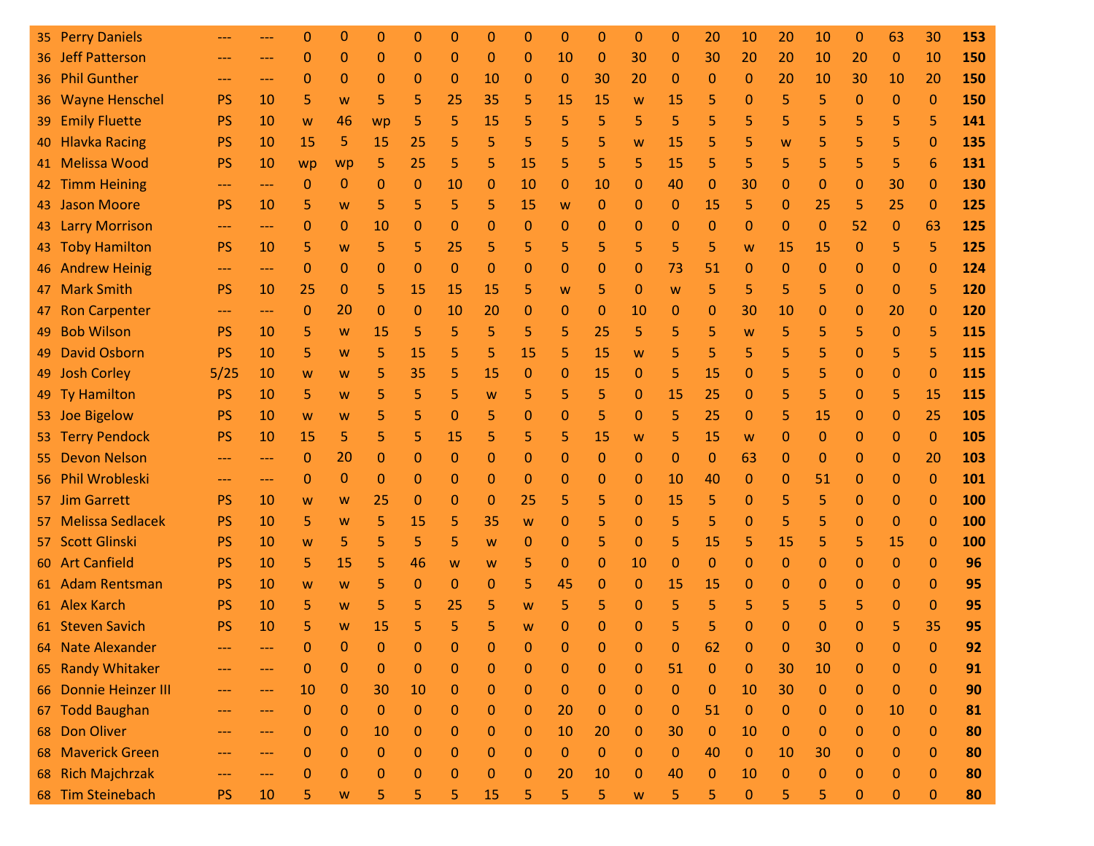|     | 35 Perry Daniels      |           | --- | 0            | 0            | $\Omega$     | 0            | $\Omega$     | 0  | $\Omega$     | $\mathbf 0$  | $\mathbf 0$  | 0            | 0            | 20           | 10           | 20           | 10          | $\mathbf 0$  | 63           | 30             | 153 |
|-----|-----------------------|-----------|-----|--------------|--------------|--------------|--------------|--------------|----|--------------|--------------|--------------|--------------|--------------|--------------|--------------|--------------|-------------|--------------|--------------|----------------|-----|
|     | 36 Jeff Patterson     | ---       | --- | $\mathbf{0}$ | 0            | $\Omega$     | $\mathbf{0}$ | $\Omega$     | 0  | $\mathbf 0$  | 10           | $\mathbf 0$  | 30           | $\mathbf{0}$ | 30           | 20           | 20           | 10          | 20           | $\mathbf{0}$ | 10             | 150 |
|     | 36 Phil Gunther       | ---       | --- | $\Omega$     | $\mathbf{0}$ | $\Omega$     | $\mathbf 0$  | $\mathbf{0}$ | 10 | $\mathbf 0$  | $\mathbf 0$  | 30           | 20           | 0            | $\Omega$     | $\mathbf{0}$ | 20           | 10          | 30           | 10           | 20             | 150 |
|     | 36 Wayne Henschel     | <b>PS</b> | 10  | 5            | W            | 5            | 5            | 25           | 35 | 5            | 15           | 15           | W            | 15           | 5            | $\Omega$     | 5            | 5           | $\mathbf{0}$ | $\Omega$     | $\mathbf 0$    | 150 |
| 39  | <b>Emily Fluette</b>  | <b>PS</b> | 10  | W            | 46           | wp           | 5            | 5            | 15 | 5            | 5            | 5            | 5            | 5            | 5            | 5            | 5            | 5           | 5            | 5            | 5              | 141 |
| 40  | <b>Hlavka Racing</b>  | <b>PS</b> | 10  | 15           | 5            | 15           | 25           | 5            | 5  | 5            | 5            | 5            | W            | 15           | 5            | 5            | W            | 5           | 5            | 5            | $\mathbf{0}$   | 135 |
| 41  | <b>Melissa Wood</b>   | <b>PS</b> | 10  | wp           | wp           | 5            | 25           | 5            | 5  | 15           | 5            | 5            | 5            | 15           | 5            | 5            | 5            | 5           | 5            | 5            | 6              | 131 |
|     | 42 Timm Heining       | ---       | --- | 0            | $\mathbf{0}$ | $\Omega$     | $\mathbf{0}$ | 10           | 0  | 10           | 0            | 10           | $\mathbf 0$  | 40           | $\Omega$     | 30           | $\mathbf{0}$ | 0           | 0            | 30           | $\mathbf 0$    | 130 |
|     | 43 Jason Moore        | <b>PS</b> | 10  | 5            | W            | 5            | 5            | 5            | 5  | 15           | W            | 0            | $\Omega$     | $\mathbf{0}$ | 15           | 5            | $\mathbf 0$  | 25          | 5            | 25           | $\mathbf{0}$   | 125 |
|     | 43 Larry Morrison     | ---       | --- | 0            | 0            | 10           | $\mathbf 0$  | 0            | 0  | 0            | 0            | 0            | 0            | $\mathbf{0}$ | 0            | $\mathbf 0$  | $\mathbf{0}$ | 0           | 52           | 0            | 63             | 125 |
|     | 43 Toby Hamilton      | <b>PS</b> | 10  | 5            | W            | 5            | 5            | 25           | 5  | 5            | 5            | 5            | 5            | 5            | 5            | W            | 15           | 15          | $\mathbf{0}$ | 5            | 5              | 125 |
|     | 46 Andrew Heinig      | ---       | --- | $\Omega$     | 0            | $\Omega$     | $\mathbf 0$  | $\Omega$     | 0  | 0            | 0            | 0            | $\Omega$     | 73           | 51           | $\mathbf{0}$ | $\Omega$     | 0           | 0            | $\mathbf{0}$ | $\mathbf{0}$   | 124 |
|     | 47 Mark Smith         | <b>PS</b> | 10  | 25           | $\mathbf{0}$ | 5            | 15           | 15           | 15 | 5            | W            | 5            | $\Omega$     | W            | 5            | 5            | 5            | 5           | $\mathbf{0}$ | $\Omega$     | 5              | 120 |
| 47  | <b>Ron Carpenter</b>  | ---       | --- | $\mathbf{0}$ | 20           | $\Omega$     | $\mathbf{0}$ | 10           | 20 | $\mathbf 0$  | $\mathbf 0$  | $\mathbf 0$  | 10           | $\mathbf{0}$ | 0            | 30           | 10           | 0           | $\mathbf 0$  | 20           | $\mathbf 0$    | 120 |
| 49  | <b>Bob Wilson</b>     | <b>PS</b> | 10  | 5            | W            | 15           | 5            | 5            | 5  | 5            | 5            | 25           | 5            | 5            | 5            | W            | 5            | 5           | 5            | $\Omega$     | 5              | 115 |
| 49  | <b>David Osborn</b>   | <b>PS</b> | 10  | 5            | W            | 5            | 15           | 5.           | 5  | 15           | 5            | 15           | W            | 5            | 5            | 5            | 5            | 5           | 0            | 5            | 5              | 115 |
|     | 49 Josh Corley        | 5/25      | 10  | W            | W            | 5            | 35           | 5            | 15 | $\mathbf 0$  | 0            | 15           | $\mathbf 0$  | 5            | 15           | $\mathbf{0}$ | 5            | 5           | $\mathbf{0}$ | $\mathbf{0}$ | $\mathbf{0}$   | 115 |
|     | 49 Ty Hamilton        | <b>PS</b> | 10  | 5            | W            | 5            | 5            | 5            | W  | 5            | 5            | 5            | $\mathbf 0$  | 15           | 25           | $\mathbf{0}$ | 5            | 5           | $\mathbf{0}$ | 5            | 15             | 115 |
|     | 53 Joe Bigelow        | <b>PS</b> | 10  | W            | W            | 5            | 5            | 0            | 5  | 0            | 0            | 5            | $\Omega$     | 5            | 25           | $\mathbf{0}$ | 5            | 15          | 0            | $\mathbf{0}$ | 25             | 105 |
|     | 53 Terry Pendock      | <b>PS</b> | 10  | 15           | 5            | 5            | 5            | 15           | 5  | 5            | 5            | 15           | W            | 5            | 15           | W            | $\mathbf{0}$ | 0           | $\mathbf{0}$ | 0            | $\mathbf{0}$   | 105 |
| 55. | <b>Devon Nelson</b>   | ---       | --- | 0            | 20           | $\Omega$     | 0            | 0            | 0  | 0            | 0            | $\mathbf 0$  | $\mathbf 0$  | $\bf 0$      | $\mathbf{0}$ | 63           | $\mathbf 0$  | 0           | 0            | 0            | 20             | 103 |
|     | 56 Phil Wrobleski     | ---       | --- | 0            | $\mathbf{0}$ | $\Omega$     | $\mathbf 0$  | 0            | 0  | 0            | 0            | 0            | $\mathbf{0}$ | 10           | 40           | $\mathbf{0}$ | $\mathbf 0$  | 51          | $\mathbf 0$  | $\mathbf{0}$ | $\mathbf{0}$   | 101 |
|     | 57 Jim Garrett        | <b>PS</b> | 10  | W            | W            | 25           | $\mathbf 0$  | 0            | 0  | 25           | 5            | 5            | $\mathbf 0$  | 15           | 5            | $\mathbf{0}$ | 5            | 5           | 0            | $\mathbf{0}$ | $\mathbf{0}$   | 100 |
|     | 57 Melissa Sedlacek   | <b>PS</b> | 10  | 5            | W            | 5            | 15           | 5            | 35 | W            | 0            | 5            | $\Omega$     | 5            | 5            | $\mathbf{0}$ | 5            | 5           | $\mathbf{0}$ | $\Omega$     | $\mathbf{0}$   | 100 |
|     | 57 Scott Glinski      | <b>PS</b> | 10  | W            | 5            | 5            | 5            | 5            | W  | 0            | 0            | 5            | $\mathbf 0$  | 5            | 15           | 5            | 15           | 5           | 5            | 15           | $\mathbf{0}$   | 100 |
|     | 60 Art Canfield       | <b>PS</b> | 10  | 5            | 15           | 5            | 46           | W            | W  | 5            | $\mathbf 0$  | $\Omega$     | 10           | $\mathbf{0}$ | $\Omega$     | $\Omega$     | $\mathbf 0$  | 0           | $\mathbf{0}$ | $\mathbf{0}$ | $\mathbf{0}$   | 96  |
|     | 61 Adam Rentsman      | <b>PS</b> | 10  | W            | W            | 5            | $\mathbf{0}$ | $\Omega$     | 0  | 5            | 45           | 0            | $\mathbf 0$  | 15           | 15           | $\mathbf{0}$ | $\Omega$     | 0           | 0            | $\Omega$     | $\mathbf 0$    | 95  |
|     | 61 Alex Karch         | <b>PS</b> | 10  | 5            | W            | 5            | 5            | 25           | 5  | W            | 5            | 5            | $\Omega$     | 5            | 5            | 5            | 5            | 5           | 5            | $\Omega$     | $\mathbf 0$    | 95  |
|     | 61 Steven Savich      | <b>PS</b> | 10  | 5            | W            | 15           | 5            | 5.           | 5  | W            | $\Omega$     | 0            | 0            | 5            | 5            | 0            | 0            | 0           | 0            | 5            | 35             | 95  |
|     | 64 Nate Alexander     |           |     |              | $\mathbf{0}$ | $\mathbf{0}$ | $\mathbf{0}$ | $\mathbf{0}$ | 0  | $\mathbf 0$  | 0            | $\mathbf{0}$ | 0            | $\mathbf{0}$ | 62           | $\mathbf{0}$ | 0            | 30          | 0            | $\mathbf{0}$ | $\overline{0}$ | 92  |
|     | 65 Randy Whitaker     |           | --- | 0            | 0            | $\mathbf 0$  | 0            | $\mathbf{0}$ | 0  | $\mathbf 0$  | $\mathbf 0$  | 0            | $\mathbf 0$  | 51           | $\mathbf 0$  | 0            | 30           | 10          | $\mathbf{0}$ | $\mathbf{0}$ | $\mathbf{0}$   | 91  |
|     | 66 Donnie Heinzer III | ---       | --- | 10           | $\mathbf{0}$ | 30           | 10           | $\mathbf{0}$ | 0  | $\mathbf 0$  | $\mathbf 0$  | $\mathbf 0$  | $\mathbf{0}$ | $\mathbf{0}$ | $\mathbf{0}$ | 10           | 30           | $\mathbf 0$ | $\mathbf{0}$ | $\mathbf{0}$ | $\mathbf{0}$   | 90  |
| 67  | <b>Todd Baughan</b>   |           | --- | $\Omega$     | $\mathbf{0}$ | $\mathbf{0}$ | $\mathbf{0}$ | $\mathbf{0}$ | 0  | $\mathbf 0$  | 20           | $\mathbf 0$  | $\mathbf{0}$ | $\mathbf{0}$ | 51           | $\bf 0$      | $\mathbf{0}$ | $\mathbf 0$ | $\mathbf{0}$ | 10           | $\mathbf{0}$   | 81  |
|     | 68 Don Oliver         | ---       | --- | 0            | 0            | 10           | 0            | 0            | 0  | $\mathbf 0$  | 10           | 20           | 0            | 30           | $\mathbf{0}$ | 10           | $\mathbf 0$  | 0           | 0            | 0            | $\mathbf{0}$   | 80  |
| 68  | <b>Maverick Green</b> | ---       | --- | $\mathbf{0}$ | $\mathbf{0}$ | $\mathbf 0$  | $\mathbf{0}$ | $\mathbf{0}$ | 0  | $\mathbf 0$  | $\mathbf{0}$ | $\mathbf{0}$ | $\mathbf{0}$ | $\mathbf{0}$ | 40           | $\mathbf{0}$ | 10           | 30          | $\mathbf{0}$ | 0            | $\mathbf{0}$   | 80  |
|     | 68 Rich Majchrzak     | ---       | --- | $\Omega$     | 0            | $\Omega$     | $\mathbf{0}$ | 0            | 0  | $\mathbf{0}$ | 20           | 10           | $\Omega$     | 40           | 0            | 10           | $\Omega$     | 0           | 0            | $\mathbf{0}$ | $\bf{0}$       | 80  |
|     | 68 Tim Steinebach     | <b>PS</b> | 10  | 5            | W            | 5            | 5            | 5            | 15 | 5            | 5            | 5            | W            | 5            | 5            | $\pmb{0}$    | 5            | 5           | $\mathbf 0$  | $\mathbf 0$  | $\bf 0$        | 80  |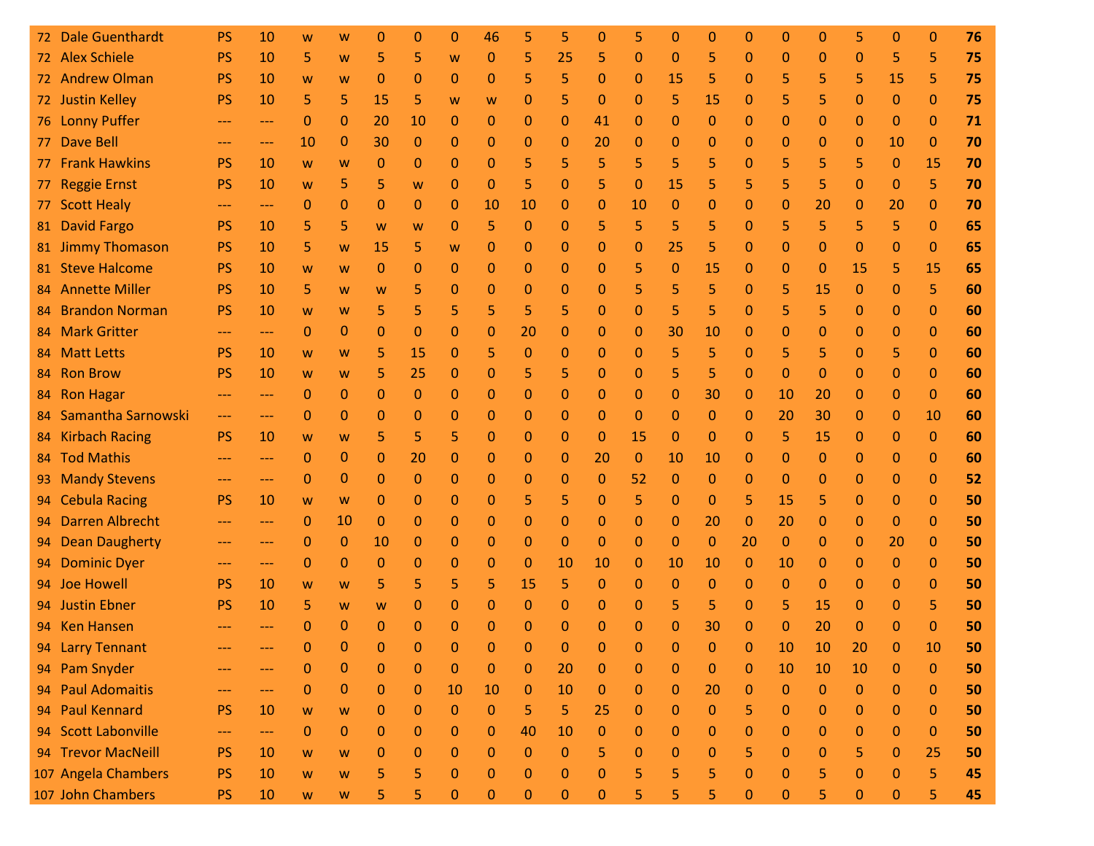| 72. | <b>Dale Guenthardt</b> | <b>PS</b> | 10                | W            | W            | 0            | 0            | 0            | 46           | 5           | 5            | 0            | 5            | 0            | 0            | 0            | 0            | $\Omega$     | 5            | 0                | $\mathbf{0}$ | 76 |
|-----|------------------------|-----------|-------------------|--------------|--------------|--------------|--------------|--------------|--------------|-------------|--------------|--------------|--------------|--------------|--------------|--------------|--------------|--------------|--------------|------------------|--------------|----|
|     | 72 Alex Schiele        | PS        | 10                | 5            | W            | 5            | 5            | W            | 0            | 5           | 25           | 5            | $\mathbf{0}$ | $\mathbf{0}$ | 5            | 0            | 0            | $\mathbf 0$  | 0            | 5                | 5            | 75 |
|     | 72 Andrew Olman        | <b>PS</b> | 10                | W            | W            | $\Omega$     | $\mathbf{0}$ | 0            | 0            | 5           | 5            | 0            | $\mathbf{0}$ | 15           | 5            | 0            | 5            | 5            | 5            | 15               | 5            | 75 |
|     | 72 Justin Kelley       | <b>PS</b> | 10                | 5            | 5            | 15           | 5            | W            | W            | 0           | 5            | 0            | $\Omega$     | 5            | 15           | 0            | 5            | 5            | 0            | 0                | $\Omega$     | 75 |
|     | 76 Lonny Puffer        | ---       | $---$             | $\Omega$     | 0            | 20           | 10           | 0            | 0            | 0           | 0            | 41           | $\Omega$     | $\mathbf 0$  | 0            | 0            | 0            | 0            | 0            | $\Omega$         | $\Omega$     | 71 |
| 77. | <b>Dave Bell</b>       |           | $---$             | 10           | 0            | 30           | 0            | 0            | 0            | 0           | 0            | 20           | $\mathbf{0}$ | $\mathbf 0$  | 0            | 0            | 0            | 0            | 0            | 10               | $\mathbf{0}$ | 70 |
| 77  | <b>Frank Hawkins</b>   | <b>PS</b> | 10                | W            | W            | $\Omega$     | $\mathbf{0}$ | 0            | 0            | 5           | 5            | 5            | 5            | 5            | 5            | 0            | 5            | 5            | 5            | $\mathbf 0$      | 15           | 70 |
| 77. | <b>Reggie Ernst</b>    | <b>PS</b> | 10                | W            | 5            | 5            | W            | 0            | 0            | 5           | 0            | 5            | 0            | 15           | 5            | 5            | 5            | 5            | 0            | 0                | 5            | 70 |
| 77. | <b>Scott Healy</b>     |           | ---               | 0            | $\Omega$     | $\mathbf{0}$ | 0            | 0            | 10           | 10          | 0            | 0            | 10           | $\mathbf{0}$ | 0            | 0            | 0            | 20           | 0            | 20               | $\Omega$     | 70 |
| 81  | <b>David Fargo</b>     | <b>PS</b> | 10                | 5            | 5            | W            | W            | 0            | 5            | 0           | 0            | 5            | 5            | 5            | 5            | 0            | 5            | 5            | 5            | 5                | $\mathbf{0}$ | 65 |
|     | 81 Jimmy Thomason      | <b>PS</b> | 10                | 5            | W            | 15           | 5            | W            | 0            | 0           | 0            | 0            | 0            | 25           | 5            | 0            | 0            | 0            | 0            | 0                | $\Omega$     | 65 |
|     | 81 Steve Halcome       | <b>PS</b> | 10                | W            | W            | 0            | 0            | 0            | 0            | 0           | 0            | 0            | 5            | $\mathbf 0$  | 15           | 0            | 0            | $\mathbf{0}$ | 15           | 5                | 15           | 65 |
|     | 84 Annette Miller      | <b>PS</b> | 10                | 5            | W            | W            | 5            | 0            | $\Omega$     | 0           | 0            | $\Omega$     | 5            | 5            | 5            | 0            | 5            | 15           | $\mathbf{0}$ | $\Omega$         | 5            | 60 |
| 84  | <b>Brandon Norman</b>  | <b>PS</b> | 10                | W            | W            | 5            | 5            | 5            | 5            | 5           | 5            | 0            | $\Omega$     | 5            | 5            | 0            | 5            | 5            | 0            | 0                | $\Omega$     | 60 |
|     | 84 Mark Gritter        | ---       | $---$             | $\mathbf{0}$ | $\Omega$     | $\Omega$     | $\Omega$     | 0            | 0            | 20          | 0            | 0            | 0            | 30           | 10           | 0            | 0            | 0            | 0            | 0                | $\Omega$     | 60 |
| 84  | <b>Matt Letts</b>      | <b>PS</b> | 10                | W            | W            | 5            | 15           | 0            | 5            | $\Omega$    | 0            | 0            | 0            | 5            | 5            | 0            | 5            | 5            | 0            | 5                | $\Omega$     | 60 |
| 84  | <b>Ron Brow</b>        | <b>PS</b> | 10                | W            | W            | 5            | 25           | 0            | 0            | 5           | 5            | 0            | $\Omega$     | 5            | 5            | 0            | $\Omega$     | 0            | 0            | $\mathbf{0}$     | $\Omega$     | 60 |
| 84. | <b>Ron Hagar</b>       | $---$     | $---$             | $\Omega$     | 0            | $\Omega$     | $\mathbf{0}$ | 0            | 0            | 0           | 0            | 0            | 0            | $\mathbf{0}$ | 30           | $\mathbf{0}$ | 10           | 20           | 0            | 0                | $\Omega$     | 60 |
|     | 84 Samantha Sarnowski  | ---       | $---$             | 0            | 0            | 0            | 0            | 0            | 0            | 0           | 0            | 0            | $\Omega$     | $\mathbf 0$  | 0            | 0            | 20           | 30           | 0            | 0                | 10           | 60 |
| 84  | <b>Kirbach Racing</b>  | <b>PS</b> | 10                | W            | W            | 5            | 5            | 5            | 0            | 0           | 0            | 0            | 15           | $\mathbf{0}$ | 0            | 0            | 5            | 15           | 0            | 0                | $\mathbf{0}$ | 60 |
| 84  | <b>Tod Mathis</b>      | ---       | $---$             | 0            | 0            | 0            | 20           | 0            | 0            | 0           | 0            | 20           | $\mathbf{0}$ | 10           | 10           | 0            | $\Omega$     | 0            | 0            | 0                | $\mathbf{0}$ | 60 |
| 93. | <b>Mandy Stevens</b>   | ---       | $---$             | 0            | 0            | $\mathbf{0}$ | 0            | 0            | 0            | 0           | 0            | 0            | 52           | $\mathbf 0$  | 0            | $\mathbf{0}$ | $\Omega$     | $\mathbf{0}$ | 0            | 0                | 0            | 52 |
| 94  | <b>Cebula Racing</b>   | <b>PS</b> | 10                | W            | W            | 0            | 0            | 0            | 0            | 5           | 5            | 0            | 5            | $\mathbf 0$  | 0            | 5            | 15           | 5            | 0            | 0                | $\mathbf{0}$ | 50 |
| 94  | <b>Darren Albrecht</b> | ---       | $---$             | $\mathbf{0}$ | 10           | $\Omega$     | $\mathbf{0}$ | 0            | 0            | 0           | 0            | 0            | $\Omega$     | $\mathbf{0}$ | 20           | $\mathbf{0}$ | 20           | 0            | 0            | 0                | $\Omega$     | 50 |
| 94  | <b>Dean Daugherty</b>  | ---       | $---$             | 0            | 0            | 10           | 0            | 0            | 0            | 0           | 0            | 0            | 0            | $\mathbf{0}$ | 0            | 20           | $\Omega$     | $\mathbf{0}$ | 0            | 20               | $\mathbf{0}$ | 50 |
| 94  | <b>Dominic Dyer</b>    | ---       | $---$             | $\mathbf{0}$ | 0            | $\Omega$     | $\mathbf{0}$ | 0            | 0            | $\mathbf 0$ | 10           | 10           | $\mathbf{0}$ | 10           | 10           | $\mathbf{0}$ | 10           | $\mathbf 0$  | 0            | $\mathbf{0}$     | $\mathbf{0}$ | 50 |
|     | 94 Joe Howell          | <b>PS</b> | 10                | W            | W            | 5            | 5            | 5.           | 5            | 15          | 5            | $\mathbf 0$  | 0            | $\mathbf{0}$ | 0            | 0            | $\Omega$     | $\Omega$     | 0            | 0                | $\Omega$     | 50 |
|     | 94 Justin Ebner        | <b>PS</b> | 10                | 5            | W            | W            | 0            | 0            | 0            | $\mathbf 0$ | 0            | 0            | $\Omega$     | 5            | 5            | 0            | 5            | 15           | 0            | $\Omega$         | 5            | 50 |
|     | 94 Ken Hansen          |           |                   | O            | $\Omega$     | $\Omega$     | 0            | 0            | 0            | 0           | 0            | 0            | 0            | 0            | 30           | 0            | 0            | 20           | 0            | 0                | 0            | 50 |
|     | 94 Larry Tennant       |           |                   |              | $\mathbf{0}$ | $\mathbf{0}$ | $\mathbf{0}$ | $\mathbf{0}$ | $\mathbf{0}$ | 0           |              | 0            |              | $\mathbf{0}$ | $\mathbf{0}$ | $\mathbf{0}$ | 10           | 10           | 20           | $\mathbf{0}$     | 10           | 50 |
|     | 94 Pam Snyder          |           | ---               | 0            | $\mathbf{0}$ | $\mathbf 0$  | 0            | 0            | 0            | $\mathbf 0$ | 20           | $\mathbf 0$  | $\mathbf{0}$ | $\mathbf 0$  | $\mathbf{0}$ | 0            | 10           | 10           | 10           | $\mathbf 0$      | $\mathbf{0}$ | 50 |
|     | 94 Paul Adomaitis      | ---       | $\qquad \qquad -$ | $\mathbf 0$  | $\mathbf{0}$ | $\mathbf{0}$ | $\pmb{0}$    | 10           | 10           | $\mathbf 0$ | 10           | $\mathbf{0}$ | $\mathbf{0}$ | $\mathbf{0}$ | 20           | 0            | $\mathbf{0}$ | $\mathbf{0}$ | $\mathbf{0}$ | 0                | $\mathbf{0}$ | 50 |
|     | 94 Paul Kennard        | <b>PS</b> | 10                | W            | W            | $\mathbf{0}$ | $\mathbf{0}$ | $\mathbf{0}$ | 0            | 5           | 5            | 25           | $\mathbf{0}$ | $\mathbf{0}$ | $\mathbf{0}$ | 5            | $\mathbf{0}$ | $\mathbf 0$  | $\mathbf{0}$ | 0                | $\mathbf{0}$ | 50 |
|     | 94 Scott Labonville    | ---       | $---$             | $\mathbf 0$  | 0            | 0            | 0            | 0            | 0            | 40          | 10           | 0            | 0            | 0            | 0            | 0            | $\mathbf 0$  | 0            | 0            | 0                | 0            | 50 |
|     | 94 Trevor MacNeill     | <b>PS</b> | 10                | W            | W            | $\mathbf 0$  | $\mathbf{0}$ | 0            | 0            | $\mathbf 0$ | $\mathbf{0}$ | 5            | $\Omega$     | $\mathbf{0}$ | 0            | 5            | $\mathbf{0}$ | $\mathbf 0$  | 5            | $\Omega$         | 25           | 50 |
|     | 107 Angela Chambers    | <b>PS</b> | 10                | W            | W            | 5            | 5            | 0            | 0            | $\mathbf 0$ | 0            | 0            | 5            | 5            | 5            | $\Omega$     | 0            | 5            | 0            | 0                | 5            | 45 |
|     | 107 John Chambers      | <b>PS</b> | 10                | W            | W            | 5            | 5            | 0            | $\mathbf{0}$ | $\pmb{0}$   | $\pmb{0}$    | $\mathbf 0$  | 5            | 5            | 5            | $\pmb{0}$    | $\pmb{0}$    | 5            | 0            | $\boldsymbol{0}$ | 5            | 45 |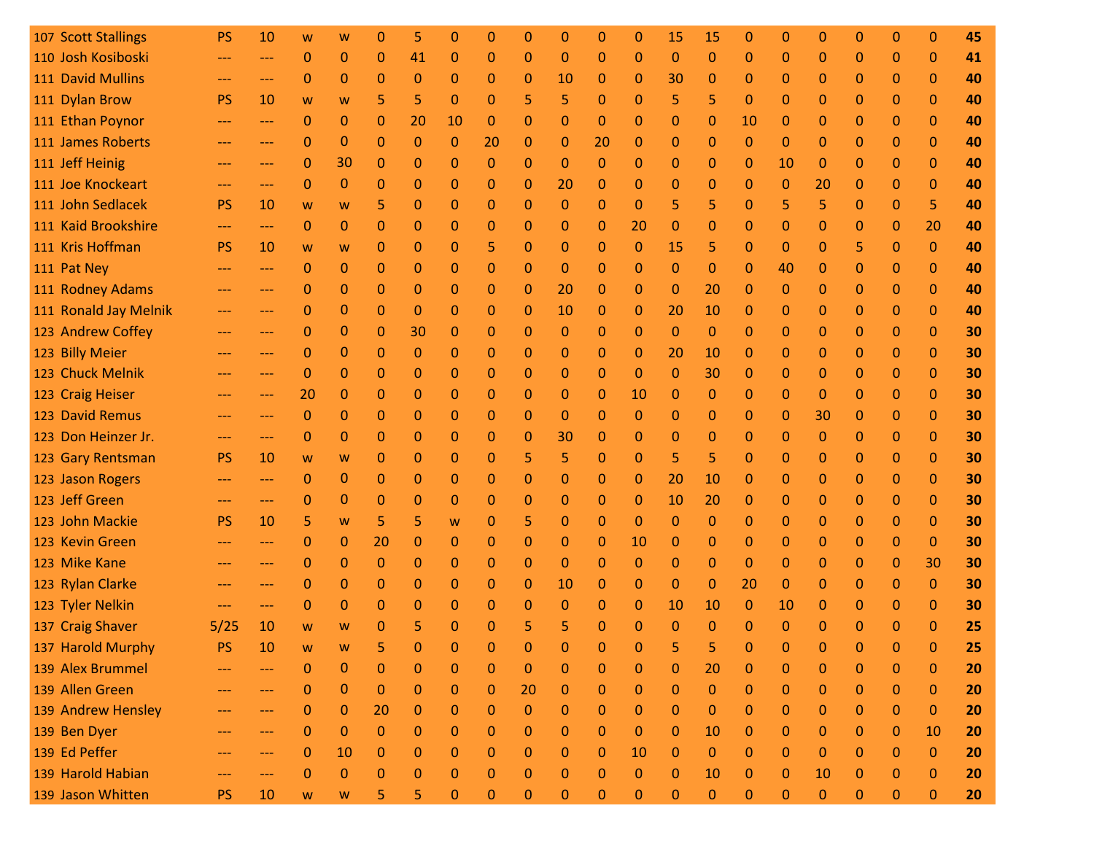| 107 Scott Stallings   | <b>PS</b>           | 10                | W                                                                                     | w                | O            | 5           | O            |              | O            | 0            | 0            | 0        | 15           | 15           |              |              |              | O            | 0            | 0            | 45 |
|-----------------------|---------------------|-------------------|---------------------------------------------------------------------------------------|------------------|--------------|-------------|--------------|--------------|--------------|--------------|--------------|----------|--------------|--------------|--------------|--------------|--------------|--------------|--------------|--------------|----|
| 110 Josh Kosiboski    | ---                 | $---$             | 0                                                                                     | 0                | $\mathbf 0$  | 41          | 0            | 0            | $\mathbf 0$  | 0            | 0            | $\Omega$ | $\Omega$     | 0            | $\mathbf 0$  | $\mathbf 0$  | 0            | 0            | $\Omega$     | $\mathbf 0$  | 41 |
| 111 David Mullins     | $\qquad \qquad - -$ | $---$             | 0                                                                                     | 0                | 0            | 0           | 0            | 0            | 0            | 10           | 0            | 0        | 30           | 0            | 0            | 0            | 0            | 0            | $\mathbf{0}$ | $\mathbf 0$  | 40 |
| 111 Dylan Brow        | <b>PS</b>           | 10                | W                                                                                     | W                | 5            | 5           | 0            | 0            | 5            | 5            | 0            | $\Omega$ | 5            | 5            | $\mathbf 0$  | 0            | 0            | 0            | $\Omega$     | $\mathbf 0$  | 40 |
| 111 Ethan Poynor      | ---                 | ---               | $\mathbf{0}$                                                                          | 0                | $\Omega$     | 20          | 10           | 0            | 0            | $\mathbf 0$  | 0            | $\Omega$ | $\mathbf{0}$ | 0            | 10           | $\Omega$     | $\Omega$     | $\Omega$     | $\Omega$     | $\mathbf{0}$ | 40 |
| 111 James Roberts     | $---$               | $\qquad \qquad -$ | $\mathbf 0$                                                                           | 0                | $\Omega$     | 0           | 0            | 20           | 0            | $\mathbf 0$  | 20           | 0        | $\mathbf 0$  | 0            | $\mathbf 0$  | $\mathbf 0$  | $\mathbf{0}$ | 0            | $\Omega$     | $\mathbf 0$  | 40 |
| 111 Jeff Heinig       | $---$               | $---$             | $\mathbf{0}$                                                                          | 30               | $\Omega$     | 0           | 0            | 0            | 0            | 0            | $\mathbf 0$  | $\Omega$ | $\mathbf 0$  | 0            | 0            | 10           | $\Omega$     | 0            | $\mathbf{0}$ | $\mathbf 0$  | 40 |
| 111 Joe Knockeart     | $---$               | $\qquad \qquad -$ | $\Omega$                                                                              | $\Omega$         | $\Omega$     | 0           | 0            | 0            | 0            | 20           | 0            | 0        | $\mathbf 0$  | 0            | 0            | 0            | 20           | 0            | $\Omega$     | $\mathbf 0$  | 40 |
| 111 John Sedlacek     | <b>PS</b>           | 10                | W                                                                                     | W                | 5            | 0           | 0            | 0            | 0            | $\Omega$     | 0            | $\Omega$ | 5            | 5            | 0            | 5            | 5            | $\Omega$     | $\Omega$     | 5            | 40 |
| 111 Kaid Brookshire   | ---                 | $---$             | $\mathbf{0}$                                                                          | 0                | $\mathbf{0}$ | 0           | 0            | 0            | 0            | 0            | 0            | 20       | $\mathbf 0$  | 0            | 0            | 0            | 0            | 0            | $\mathbf{0}$ | 20           | 40 |
| 111 Kris Hoffman      | <b>PS</b>           | 10                | W                                                                                     | W                | $\mathbf{0}$ | 0           | 0            | 5            | 0            | $\Omega$     | $\Omega$     | $\Omega$ | 15           | 5            | $\mathbf 0$  | $\Omega$     | $\Omega$     | 5            | $\mathbf{0}$ | $\mathbf{0}$ | 40 |
| 111 Pat Ney           | ---                 | ---               | 0                                                                                     | 0                | 0            | 0           | 0            | 0            | 0            | $\Omega$     | 0            | $\Omega$ | $\Omega$     | $\Omega$     | 0            | 40           | 0            | 0            | 0            | $\mathbf{0}$ | 40 |
| 111 Rodney Adams      | ---                 | $\qquad \qquad -$ | 0                                                                                     | 0                | $\Omega$     | 0           | 0            | 0            | 0            | 20           | 0            | 0        | $\mathbf 0$  | 20           | 0            | 0            | $\Omega$     | 0            | $\mathbf{0}$ | $\mathbf{0}$ | 40 |
| 111 Ronald Jay Melnik | ---                 | ---               | 0                                                                                     | 0                | 0            | 0           | 0            | 0            | 0            | 10           | 0            | 0        | 20           | 10           | 0            | 0            | 0            | 0            | $\mathbf{0}$ | $\mathbf 0$  | 40 |
| 123 Andrew Coffey     | $---$               | $---$             | 0                                                                                     | 0                | $\Omega$     | 30          | 0            | 0            | 0            | 0            | 0            | $\Omega$ | $\mathbf{0}$ | $\Omega$     | 0            | 0            | 0            | 0            | $\Omega$     | $\Omega$     | 30 |
| 123 Billy Meier       |                     | ---               | 0                                                                                     | 0                | $\mathbf{0}$ | 0           | 0            | 0            | 0            | 0            | 0            | 0        | 20           | 10           | 0            | 0            | 0            | 0            | $\mathbf{0}$ | $\mathbf{0}$ | 30 |
| 123 Chuck Melnik      | ---                 | $---$             | $\mathbf{0}$                                                                          | $\Omega$         | $\Omega$     | 0           | 0            | 0            | $\mathbf{0}$ | $\Omega$     | 0            | $\Omega$ | $\Omega$     | 30           | $\mathbf 0$  | $\Omega$     | $\mathbf 0$  | $\Omega$     | $\Omega$     | $\mathbf{0}$ | 30 |
| 123 Craig Heiser      | ---                 | $---$             | 20                                                                                    | 0                | $\mathbf{0}$ | 0           | 0            | 0            | 0            | 0            | 0            | 10       | 0            | 0            | 0            | 0            | $\Omega$     | 0            | $\mathbf{0}$ | $\mathbf{0}$ | 30 |
| 123 David Remus       | $---$               | $\qquad \qquad -$ | $\mathbf{0}$                                                                          | 0                | $\Omega$     | 0           | 0            | 0            | 0            | 0            | 0            | $\Omega$ | $\mathbf 0$  | 0            | 0            | 0            | 30           | 0            | $\Omega$     | $\mathbf 0$  | 30 |
| 123 Don Heinzer Jr.   | $---$               | $\qquad \qquad -$ | 0                                                                                     | 0                | $\Omega$     | 0           | 0            | 0            | 0            | 30           | 0            | $\Omega$ | $\mathbf 0$  | $\Omega$     | 0            | 0            | $\Omega$     | 0            | $\mathbf{0}$ | $\mathbf 0$  | 30 |
| 123 Gary Rentsman     | <b>PS</b>           | 10                | W                                                                                     | W                | 0            | 0           | 0            | 0            | 5            | 5            | 0            | $\Omega$ | 5            | 5            | 0            | 0            | 0            | 0            | $\Omega$     | $\mathbf 0$  | 30 |
| 123 Jason Rogers      |                     | ---               | $\mathbf{0}$                                                                          | 0                | $\mathbf{0}$ | 0           | 0            | 0            | 0            | 0            | 0            | $\Omega$ | 20           | 10           | 0            | 0            | $\mathbf{0}$ | 0            | $\mathbf{0}$ | $\mathbf{0}$ | 30 |
| 123 Jeff Green        |                     | ---               | 0                                                                                     | 0                | $\mathbf{0}$ | 0           | 0            | 0            | 0            | 0            | 0            | $\Omega$ | 10           | 20           | 0            | 0            | $\mathbf{0}$ | 0            | $\mathbf{0}$ | $\mathbf{0}$ | 30 |
| 123 John Mackie       | <b>PS</b>           | 10                | 5                                                                                     | W                | 5            | 5           | W            | 0            | 5            | 0            | $\Omega$     | $\Omega$ | $\mathbf 0$  | 0            | 0            | 0            | $\Omega$     | 0            | $\mathbf{0}$ | $\mathbf{0}$ | 30 |
| 123 Kevin Green       | ---                 | ---               | 0                                                                                     | 0                | 20           | 0           | 0            | 0            | 0            | 0            | 0            | 10       | 0            | 0            | 0            | 0            | 0            | 0            | $\mathbf{0}$ | 0            | 30 |
| 123 Mike Kane         |                     | $---$             | 0                                                                                     | 0                | $\Omega$     | $\Omega$    | 0            | 0            | 0            | 0            | 0            | $\Omega$ | $\mathbf{0}$ | 0            | $\Omega$     | 0            | 0            | 0            | $\mathbf{0}$ | 30           | 30 |
| 123 Rylan Clarke      |                     | ---               | 0                                                                                     | 0                | 0            | 0           | 0            | 0            | 0            | 10           | 0            | 0        | 0            | $\Omega$     | 20           | $\mathbf{0}$ | 0            | 0            | $\mathbf{0}$ | $\mathbf{0}$ | 30 |
| 123 Tyler Nelkin      |                     | ---               | $\Omega$                                                                              | 0                | $\Omega$     | 0           | 0            | 0            | 0            | $\mathbf{0}$ | 0            | $\Omega$ | 10           | 10           | 0            | 10           | 0            | 0            | $\Omega$     | 0            | 30 |
| 137 Craig Shaver      | 5/25                | 10                | W                                                                                     | W                | O            | 5           | 0            | 0            |              | 5            | 0            | 0        | 0            | O            | 0            |              | O            | 0            | O            | $\Omega$     | 25 |
| 137 Harold Murphy     | <b>PS</b>           | 10                | W                                                                                     | <b>W</b>         |              |             | 0            |              |              |              |              |          |              |              | $\mathbf{0}$ |              |              |              |              | $\mathbf{0}$ | 25 |
| 139 Alex Brummel      | ---                 | ---               | 0                                                                                     | 0                | $\mathbf 0$  | 0           | 0            | 0            | $\mathbf 0$  | $\mathbf 0$  | $\mathbf 0$  | 0        | $\mathbf 0$  | 20           | 0            | $\mathbf 0$  | 0            | $\mathbf{0}$ | $\mathbf{0}$ | $\bf{0}$     | 20 |
| 139 Allen Green       | $---$               | $---$             | 0                                                                                     | $\bf 0$          | $\mathbf{0}$ | $\pmb{0}$   | $\mathbf{0}$ | $\mathbf{0}$ | 20           | $\mathbf 0$  | $\pmb{0}$    | 0        | $\mathbf{0}$ | $\mathbf{0}$ | $\mathbf{0}$ | $\pmb{0}$    | $\mathbf 0$  | $\mathbf{0}$ | $\mathbf{0}$ | $\mathbf{0}$ | 20 |
| 139 Andrew Hensley    | ---                 | ---               | $\mathbf{0}$                                                                          | 0                | 20           | $\mathbf 0$ | 0            | 0            | $\mathbf 0$  | 0            | $\mathbf{0}$ | 0        | $\mathbf{0}$ | $\mathbf{0}$ | 0            | $\mathbf 0$  | $\mathbf 0$  | $\mathbf 0$  | 0            | $\bf{0}$     | 20 |
| 139 Ben Dyer          |                     | ---               | 0                                                                                     | 0                | $\pmb{0}$    | 0           | 0            | 0            | $\mathbf 0$  | 0            | $\mathbf 0$  | 0        | $\mathbf{0}$ | 10           | 0            | $\mathbf 0$  | $\mathbf 0$  | 0            | $\mathbf{0}$ | 10           | 20 |
| 139 Ed Peffer         | ---                 | ---               | 0                                                                                     | 10               | $\mathbf 0$  | 0           | 0            | 0            | $\mathbf 0$  | 0            | $\mathbf 0$  | 10       | $\mathbf{0}$ | 0            | 0            | $\mathbf 0$  | $\mathbf{0}$ | $\mathbf 0$  | 0            | $\mathbf{0}$ | 20 |
| 139 Harold Habian     | ---                 | ---               | $\mathbf{0}$                                                                          | $\boldsymbol{0}$ | $\mathbf 0$  | 0           | 0            | $\mathbf{0}$ | 0            | 0            | 0            | 0        | $\mathbf{0}$ | 10           | 0            | $\mathbf{0}$ | 10           | $\mathbf{0}$ | 0            | $\bf{0}$     | 20 |
| 139 Jason Whitten     | <b>PS</b>           | 10                | $\mathsf{W}% _{T}=\mathsf{W}_{T}\!\left( a,b\right) ,\ \mathsf{W}_{T}=\mathsf{W}_{T}$ | W                | 5            | 5           | 0            | $\mathbf{0}$ | 0            | 0            | 0            | 0        | $\mathbf 0$  | $\pmb{0}$    | $\pmb{0}$    | $\pmb{0}$    | $\mathbf 0$  | 0            | 0            | $\mathbf{0}$ | 20 |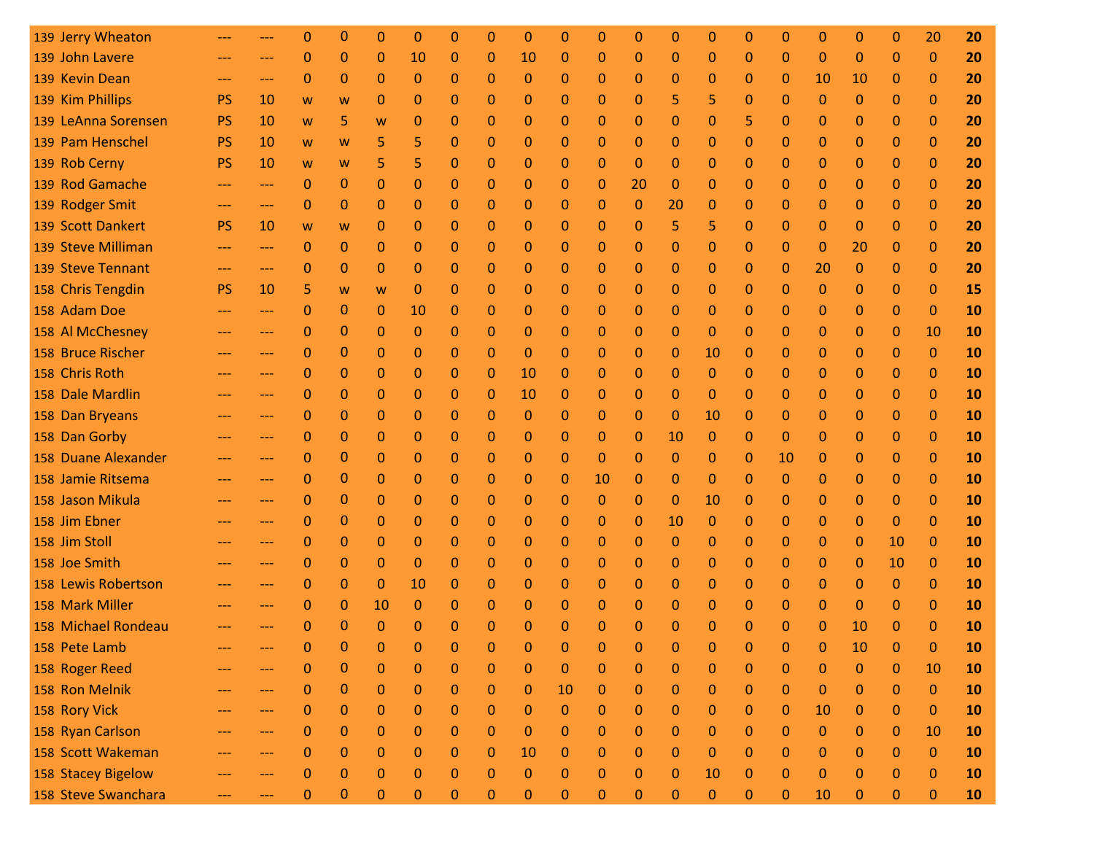| 139 Jerry Wheaton   |                     |       | 0            | 0            | 0            | O            | Ω              | 0            | 0            | O            | 0            | 0            | 0            | 0            | 0            | O              | O            | 0                | 0                | 20           | 20 |
|---------------------|---------------------|-------|--------------|--------------|--------------|--------------|----------------|--------------|--------------|--------------|--------------|--------------|--------------|--------------|--------------|----------------|--------------|------------------|------------------|--------------|----|
| 139 John Lavere     | ---                 | $---$ | 0            | 0            | $\Omega$     | 10           | 0              | 0            | 10           | 0            | $\mathbf{0}$ | $\Omega$     | $\Omega$     | $\Omega$     | 0            | $\Omega$       | $\mathbf 0$  | 0                | 0                | $\mathbf{0}$ | 20 |
| 139 Kevin Dean      | $\qquad \qquad - -$ | $---$ | 0            | 0            | 0            | 0            | 0              | 0            | $\mathbf 0$  | 0            | $\mathbf{0}$ | 0            | 0            | 0            | 0            | $\mathbf{0}$   | 10           | 10               | 0                | $\mathbf{0}$ | 20 |
| 139 Kim Phillips    | <b>PS</b>           | 10    | W            | W            | 0            | 0            | 0              | 0            | 0            | 0            | $\mathbf{0}$ | $\Omega$     | 5            | 5            | 0            | 0              | $\mathbf 0$  | 0                | 0                | $\mathbf{0}$ | 20 |
| 139 LeAnna Sorensen | <b>PS</b>           | 10    | W            | 5            | W            | 0            | 0              | 0            | 0            | 0            | $\Omega$     | 0            | $\mathbf{0}$ | $\Omega$     | 5            | $\Omega$       | $\mathbf{0}$ | 0                | 0                | $\Omega$     | 20 |
| 139 Pam Henschel    | <b>PS</b>           | 10    | W            | W            | 5            | 5            | 0              | 0            | 0            | 0            | 0            | 0            | $\mathbf{0}$ | 0            | 0            | 0              | 0            | 0                | $\Omega$         | $\Omega$     | 20 |
| 139 Rob Cerny       | <b>PS</b>           | 10    | W            | W            | 5            | 5            | 0              | 0            | 0            | 0            | $\mathbf{0}$ | $\Omega$     | $\Omega$     | $\Omega$     | 0            | $\Omega$       | $\mathbf{0}$ | 0                | 0                | $\mathbf{0}$ | 20 |
| 139 Rod Gamache     | ---                 | $---$ | 0            | 0            | $\Omega$     | 0            | 0              | 0            | 0            | 0            | 0            | 20           | $\mathbf{0}$ | 0            | 0            | 0              | 0            | 0                | 0                | $\Omega$     | 20 |
| 139 Rodger Smit     | ---                 | ---   | $\mathbf{0}$ | 0            | $\mathbf 0$  | 0            | 0              | $\mathbf{0}$ | 0            | 0            | $\Omega$     | $\Omega$     | 20           | $\Omega$     | 0            | $\Omega$       | $\mathbf 0$  | 0                | $\Omega$         | $\Omega$     | 20 |
| 139 Scott Dankert   | <b>PS</b>           | 10    | W            | W            | 0            | 0            | 0              | 0            | 0            | 0            | $\mathbf{0}$ | $\Omega$     | 5            | 5            | 0            | 0              | $\mathbf 0$  | 0                | 0                | $\mathbf{0}$ | 20 |
| 139 Steve Milliman  | $---$               | $---$ | $\mathbf{0}$ | 0            | $\mathbf{0}$ | 0            | 0              | 0            | 0            | 0            | $\Omega$     | $\mathbf{0}$ | $\mathbf{0}$ | $\Omega$     | $\mathbf{0}$ | 0              | 0            | 20               | 0                | $\mathbf{0}$ | 20 |
| 139 Steve Tennant   | ---                 | ---   | 0            | 0            | $\mathbf{0}$ | 0            | 0              | 0            | 0            | 0            | 0            | 0            | $\Omega$     | 0            | 0            | $\Omega$       | 20           | 0                | 0                | $\mathbf{0}$ | 20 |
| 158 Chris Tengdin   | <b>PS</b>           | 10    | 5            | W            | W            | 0            | 0              | 0            | 0            | 0            | $\Omega$     | $\mathbf{0}$ | $\mathbf{0}$ | $\Omega$     | 0            | 0              | $\mathbf{0}$ | 0                | 0                | $\Omega$     | 15 |
| 158 Adam Doe        | ---                 | ---   | 0            | 0            | 0            | 10           | 0              | 0            | 0            | 0            | 0            | 0            | 0            | 0            | 0            | 0              | 0            | 0                | 0                | $\Omega$     | 10 |
| 158 Al McChesney    | ---                 | $---$ | 0            | 0            | $\mathbf{0}$ | 0            | 0              | 0            | 0            | 0            | $\Omega$     | $\Omega$     | $\mathbf{0}$ | $\Omega$     | 0            | 0              | $\mathbf{0}$ | 0                | 0                | 10           | 10 |
| 158 Bruce Rischer   | ---                 | ---   | 0            | 0            | 0            | 0            | 0              | 0            | $\mathbf{0}$ | 0            | 0            | 0            | $\mathbf{0}$ | 10           | 0            | $\Omega$       | 0            | 0                | 0                | $\Omega$     | 10 |
| 158 Chris Roth      | $---$               | $---$ | 0            | 0            | $\Omega$     | 0            | 0              | $\mathbf{0}$ | 10           | $\mathbf{0}$ | 0            | $\Omega$     | $\Omega$     | $\Omega$     | 0            | 0              | 0            | 0                | $\Omega$         | $\Omega$     | 10 |
| 158 Dale Mardlin    | ---                 | $---$ | 0            | 0            | $\mathbf{0}$ | 0            | 0              | 0            | 10           | 0            | $\mathbf{0}$ | $\Omega$     | $\mathbf{0}$ | $\Omega$     | 0            | $\Omega$       | $\mathbf{0}$ | 0                | $\Omega$         | $\Omega$     | 10 |
| 158 Dan Bryeans     | ---                 | $---$ | 0            | 0            | $\mathbf 0$  | 0            | 0              | 0            | 0            | 0            | $\mathbf{0}$ | $\Omega$     | $\mathbf{0}$ | 10           | 0            | 0              | 0            | 0                | 0                | $\Omega$     | 10 |
| 158 Dan Gorby       |                     | $---$ | 0            | 0            | $\mathbf 0$  | 0            | 0              | 0            | 0            | 0            | $\Omega$     | $\Omega$     | 10           | $\Omega$     | $\mathbf 0$  | $\Omega$       | 0            | 0                | 0                | $\Omega$     | 10 |
| 158 Duane Alexander | $---$               | $---$ | 0            | 0            | $\Omega$     | 0            | 0              | 0            | 0            | 0            | $\mathbf{0}$ | 0            | $\mathbf{0}$ | 0            | 0            | 10             | 0            | 0                | $\Omega$         | $\Omega$     | 10 |
| 158 Jamie Ritsema   | $---$               | $---$ | 0            | 0            | $\mathbf{0}$ | 0            | 0              | 0            | 0            | 0            | 10           | $\Omega$     | $\mathbf{0}$ | $\Omega$     | 0            | $\Omega$       | 0            | 0                | 0                | $\Omega$     | 10 |
| 158 Jason Mikula    |                     | ---   | 0            | 0            | $\mathbf 0$  | 0            | 0              | 0            | 0            | 0            | $\Omega$     | $\mathbf{0}$ | $\mathbf{0}$ | 10           | 0            | 0              | 0            | 0                | 0                | $\Omega$     | 10 |
| 158 Jim Ebner       | ---                 | $---$ | $\mathbf 0$  | 0            | $\Omega$     | 0            | 0              | 0            | 0            | 0            | $\Omega$     | $\mathbf{0}$ | 10           | $\Omega$     | 0            | 0              | 0            | 0                | 0                | $\Omega$     | 10 |
| 158 Jim Stoll       | ---                 | ---   | 0            | 0            | 0            | 0            | 0              | 0            | 0            | 0            | 0            | $\Omega$     | $\mathbf{0}$ | 0            | 0            | 0              | 0            | 0                | <b>10</b>        | $\Omega$     | 10 |
| 158 Joe Smith       |                     | $---$ | 0            | 0            | $\Omega$     | 0            | 0              | 0            | 0            | 0            | $\Omega$     | $\Omega$     | $\mathbf{0}$ | 0            | 0            | 0              | 0            | 0                | 10               | $\mathbf{0}$ | 10 |
| 158 Lewis Robertson |                     | ---   | 0            | 0            | $\mathbf{0}$ | 10           | 0              | 0            | 0            | 0            | 0            | 0            | 0            | 0            | 0            | 0              | 0            | 0                | 0                | $\mathbf{0}$ | 10 |
| 158 Mark Miller     |                     | $---$ | 0            | 0            | 10           | 0            | 0              | 0            | 0            | 0            | 0            | 0            | $\mathbf 0$  | $\Omega$     | 0            | $\Omega$       | 0            | 0                | $\Omega$         | $\Omega$     | 10 |
| 158 Michael Rondeau |                     |       | 0            | 0            | 0            | 0            | o              | 0            | O            | 0            | 0            | n            | $\Omega$     | O            | 0            |                | O            | 10               | 0                | 0            | 10 |
| 158 Pete Lamb       |                     |       | 0            | $\Omega$     | $\mathbf{0}$ | $\mathbf{0}$ | $\mathbf{0}$   | $\Omega$     |              |              |              |              |              | $\mathbf{0}$ | $\mathbf{0}$ | $\mathbf{0}$   | $\mathbf{0}$ | 10               | 0                | 0            | 10 |
| 158 Roger Reed      |                     |       | 0            | 0            | $\mathbf 0$  | 0            | 0              | $\Omega$     | $\Omega$     | $\Omega$     | $\mathbf{0}$ | $\Omega$     | $\mathbf{0}$ | $\Omega$     | 0            | $\Omega$       | $\Omega$     | $\mathbf{0}$     | $\Omega$         | 10           | 10 |
| 158 Ron Melnik      | ---                 | $---$ | 0            | $\pmb{0}$    | $\bf 0$      | $\pmb{0}$    | $\overline{0}$ | $\mathbf 0$  | $\mathbf{0}$ | 10           | $\mathbf{0}$ | $\mathbf{0}$ | $\bf 0$      | $\mathbf{0}$ | $\mathbf{0}$ | $\overline{0}$ | $\bf 0$      | $\boldsymbol{0}$ | 0                | $\mathbf{0}$ | 10 |
| 158 Rory Vick       |                     | ---   | 0            | 0            | $\mathbf{0}$ | $\mathbf{0}$ | $\mathbf{0}$   | $\mathbf{0}$ | $\mathbf{0}$ | $\Omega$     | $\mathbf{0}$ | $\mathbf{0}$ | $\mathbf{0}$ | $\Omega$     | $\mathbf{0}$ | $\mathbf{0}$   | 10           | $\mathbf{0}$     | 0                | $\mathbf{0}$ | 10 |
| 158 Ryan Carlson    |                     | ---   | 0            | 0            | $\mathbf 0$  | 0            | 0              | 0            | $\theta$     | 0            | 0            | 0            | $\mathbf{0}$ | $\mathbf{0}$ | 0            | $\mathbf{0}$   | $\mathbf{0}$ | 0                | $\mathbf{0}$     | 10           | 10 |
| 158 Scott Wakeman   | ---                 | ---   | 0            | 0            | $\mathbf{0}$ | 0            | $\mathbf{0}$   | $\mathbf{0}$ | 10           | 0            | 0            | $\mathbf{0}$ | $\bf 0$      | $\mathbf{0}$ | $\mathbf{0}$ | $\mathbf{0}$   | $\mathbf{0}$ | $\mathbf{0}$     | 0                | $\mathbf{0}$ | 10 |
| 158 Stacey Bigelow  |                     | ---   | 0            | 0            | $\Omega$     | $\mathbf{0}$ | 0              | $\Omega$     | $\Omega$     | $\Omega$     | 0            | $\Omega$     | $\mathbf{0}$ | 10           | $\mathbf{0}$ | $\Omega$       | $\mathbf{0}$ | $\Omega$         | $\Omega$         | $\mathbf{0}$ | 10 |
| 158 Steve Swanchara |                     | ---   | 0            | $\mathbf{0}$ | $\pmb{0}$    | $\pmb{0}$    | 0              | $\pmb{0}$    | $\pmb{0}$    | $\pmb{0}$    | $\pmb{0}$    | $\pmb{0}$    | $\pmb{0}$    | $\pmb{0}$    | $\pmb{0}$    | $\pmb{0}$      | 10           | 0                | $\boldsymbol{0}$ | $\pmb{0}$    | 10 |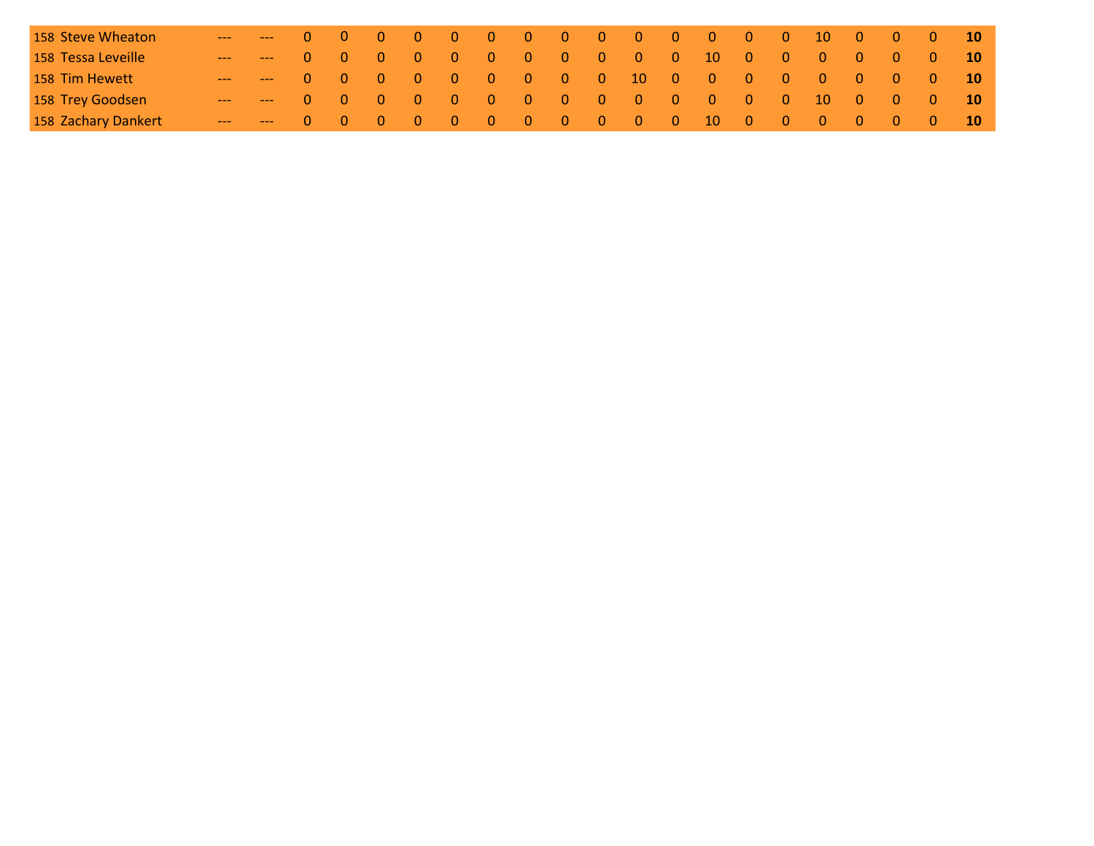| 158 Steve Wheaton   |                            |             |                                              |  |  |           |                                              | 0 0 0 0 0 0 0 0 0 0 0 0 0 0 0 0 0 0 10 |  |     |                                                 |                                              |                   |
|---------------------|----------------------------|-------------|----------------------------------------------|--|--|-----------|----------------------------------------------|----------------------------------------|--|-----|-------------------------------------------------|----------------------------------------------|-------------------|
| 158 Tessa Leveille  | $\sqrt{1-\frac{1}{2}}$ 0 0 |             | $\begin{array}{ccc} & 0 & 0 \end{array}$     |  |  |           |                                              | 0 0 0 0 0 0 0 10 0 0 0 0               |  |     | $\begin{array}{ccc} & & 0 & & 0 \\ \end{array}$ |                                              | $\sqrt{10}$       |
| 158 Tim Hewett      | $-$ 0 0                    |             | $\begin{array}{ccc} & & 0 & & 0 \end{array}$ |  |  |           |                                              | 0 0 0 0 0 10 0 0 0 0 0 0               |  |     |                                                 | $\begin{array}{cccc} 0 & 0 & 10 \end{array}$ |                   |
| 158 Trey Goodsen    | $-$ 0 0                    |             | $0\quad 0$                                   |  |  | 0 0 0 0 0 | $\begin{array}{ccc} & & 0 & & 0 \end{array}$ | 0 0 0 10                               |  | - 0 | $0\quad 0$                                      |                                              | $\blacksquare$ 10 |
| 158 Zachary Dankert |                            | $0 \quad 0$ |                                              |  |  |           |                                              | 0 0 0 0 0 0 0 0 0 10 0 0 0 0 0 0       |  |     |                                                 |                                              | 10 <sup>°</sup>   |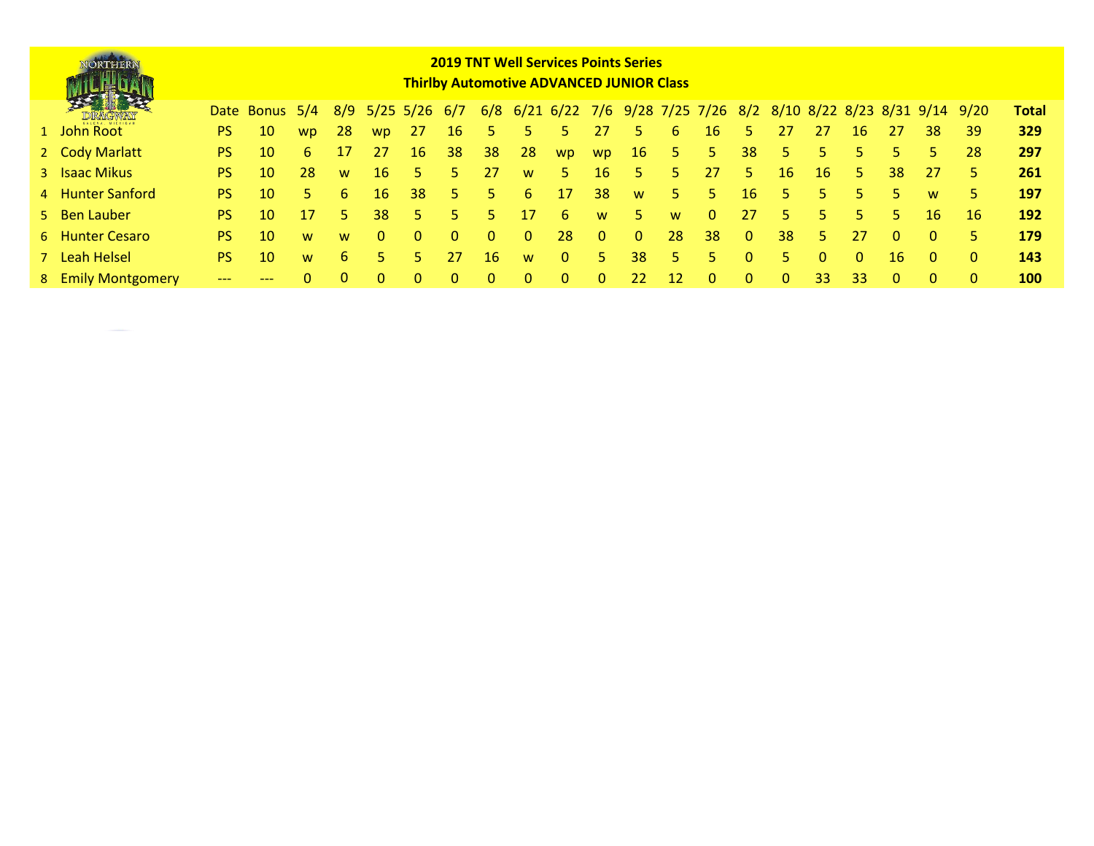| <b>"ORTHERN</b>    | <b>2019 TNT Well Services Points Series</b><br><b>Thirlby Automotive ADVANCED JUNIOR Class</b> |                 |          |     |           |                     |          |          |          |                                                           |          |              |                 |          |              |    |     |          |          |          |      |              |
|--------------------|------------------------------------------------------------------------------------------------|-----------------|----------|-----|-----------|---------------------|----------|----------|----------|-----------------------------------------------------------|----------|--------------|-----------------|----------|--------------|----|-----|----------|----------|----------|------|--------------|
|                    |                                                                                                | Date Bonus 5/4  |          | 8/9 |           | $5/25$ $5/26$ $6/7$ |          | 6/8      |          | 6/21 6/22 7/6 9/28 7/25 7/26 8/2 8/10 8/22 8/23 8/31 9/14 |          |              |                 |          |              |    |     |          |          |          | 9/20 | <b>Total</b> |
| 1 John Root        | PS.                                                                                            | 10              | wp.      | 28  | <b>WD</b> | -27                 | 16       |          |          |                                                           | 27       | 5.           | 6               | 16       | 5            | 27 | -27 | 16       | 27       | 38       | 39   | 329          |
| 2 Cody Marlatt     | PS.                                                                                            | 10              | 6.       | 17  | 27        | 16                  | 38       | 38       | 28       | wp.                                                       | wp.      | 16           | Ь.              | 5.       | 38           |    | 5.  | 5.       | 5.       | 5.       | 28   | 297          |
| 3 Isaac Mikus      | PS.                                                                                            | 10              | 28       | W   | 16        | 5.                  | 5.       | 27       | W        | 5.                                                        | 16       | 5.           | 5.              | 27       | 5            | 16 | 16  | 5.       | 38       | 27       | 5.   | 261          |
| 4 Hunter Sanford   | PS.                                                                                            | 10              | 5.       | 6.  | 16        | 38                  | 5.       | 5.       | 6.       | 17                                                        | 38       | W            | 5.              | 5.       | 16           |    | 5.  | 5.       | 5.       | W        | 5.   | 197          |
| 5 Ben Lauber       | PS.                                                                                            | 10              | 17       | ы   | 38        | 5.                  | 5.       | 5.       | 17       | 6.                                                        | W        | 5.           | W               | $\Omega$ | 27           |    | 5.  | 5.       | 5.       | 16       | 16   | 192          |
| 6 Hunter Cesaro    | PS.                                                                                            | 10              | <b>W</b> | W   | 0         | 0                   | $\Omega$ | $\Omega$ | $\Omega$ | 28                                                        | $\Omega$ | $\mathbf{0}$ | 28              | 38       | $\mathbf{0}$ | 38 | 5.  | 27       | $\Omega$ | $\Omega$ | 5.   | 179          |
| 7 Leah Helsel      | PS.                                                                                            | 10 <sup>1</sup> | <b>W</b> | 6.  | 5         | 5.                  | 27       | 16       | W        | $\Omega$                                                  | 5.       | 38           | 5.              | 5.       | $\Omega$     | 5. |     | $\Omega$ | 16       | $\Omega$ |      | 143          |
| 8 Emily Montgomery |                                                                                                |                 |          |     |           |                     |          |          |          | 0                                                         |          | 22           | 12 <sup>1</sup> |          |              |    | 33  | 33       |          |          |      | <b>100</b>   |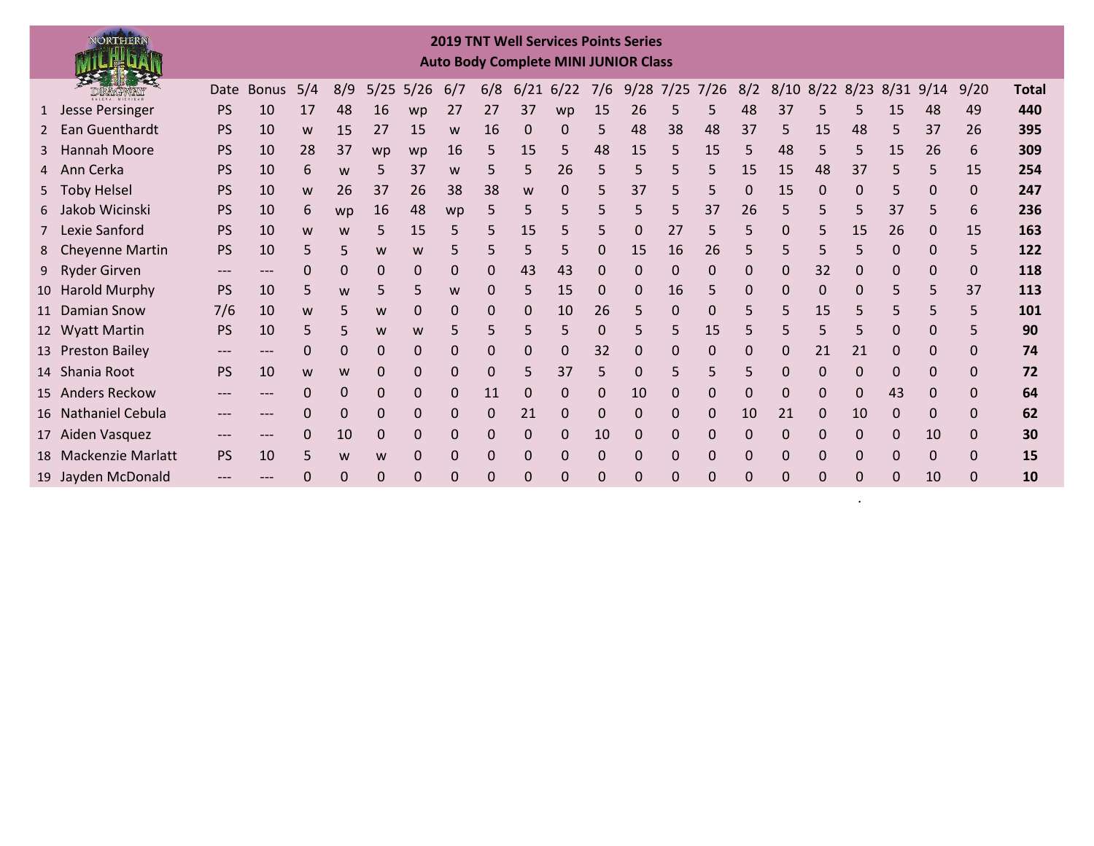## **2019 TNT Well Services Points Series Auto Body Complete MINI JUNIOR Class**

NORTHERN

|   | 天津縣<br>DRAGWAY       |           | Date Bonus | 5/4 | 8/9      |          | $5/25$ 5/26  | 6/7 | 6/8      | 6/21         | 6/22 | 7/6         | $9/28$ 7/25 7/26 |    |              | 8/2      | $8/10$ $8/22$ $8/23$ |              |          | 8/31         | 9/14 | 9/20     | Total |
|---|----------------------|-----------|------------|-----|----------|----------|--------------|-----|----------|--------------|------|-------------|------------------|----|--------------|----------|----------------------|--------------|----------|--------------|------|----------|-------|
|   | 1 Jesse Persinger    | <b>PS</b> | 10         | 17  | 48       | 16       | wp           | 27  | 27       | 37           | wp   | 15          | 26               | 5  | 5            | 48       | 37                   | 5            | 5        | 15           | 48   | 49       | 440   |
|   | Ean Guenthardt       | <b>PS</b> | 10         | W   | 15       | 27       | 15           | W   | 16       | 0            | 0    | 5           | 48               | 38 | 48           | 37       | 5                    | 15           | 48       | 5            | 37   | 26       | 395   |
| 3 | Hannah Moore         | <b>PS</b> | 10         | 28  | 37       | wp       | wp           | 16  | 5        | 15           | 5    | 48          | 15               | 5  | 15           | 5        | 48                   | 5            | 5        | 15           | 26   | 6        | 309   |
|   | 4 Ann Cerka          | <b>PS</b> | 10         | 6   | W        | 5        | 37           | W   | 5        | 5            | 26   | 5           | 5                | 5  | 5.           | 15       | 15                   | 48           | 37       | 5            | 5    | 15       | 254   |
|   | 5 Toby Helsel        | <b>PS</b> | 10         | W   | 26       | 37       | 26           | 38  | 38       | W            | 0    |             | 37               | 5  | 5            | 0        | 15                   | $\Omega$     | 0        | 5            | 0    | 0        | 247   |
|   | 6 Jakob Wicinski     | <b>PS</b> | 10         | 6   | wp       | 16       | 48           | wp  | 5        | 5            | 5    | 5           | 5                | 5  | 37           | 26       | 5                    | 5.           | 5        | 37           | 5    | 6        | 236   |
|   | Lexie Sanford        | <b>PS</b> | 10         | W   | W        | 5        | 15           | 5   | 5        | 15           | 5    | 5           | 0                | 27 | 5            | 5        | 0                    | 5.           | 15       | 26           | 0    | 15       | 163   |
|   | 8 Cheyenne Martin    | <b>PS</b> | 10         | 5   | 5        | W        | W            |     | 5        | 5            |      | 0           | 15               | 16 | 26           | 5        |                      | 5            | 5        | 0            | 0    | 5.       | 122   |
|   | 9 Ryder Girven       | $---$     |            | 0   | $\Omega$ | $\Omega$ | 0            | 0   | 0        | 43           | 43   | $\Omega$    | 0                | 0  | $\Omega$     | 0        | 0                    | 32           | $\Omega$ | 0            | 0    | 0        | 118   |
|   | 10 Harold Murphy     | <b>PS</b> | 10         | 5   | W        | 5        | 5            | W   | 0        | 5.           | 15   | $\Omega$    | 0                | 16 | 5            | 0        | $\Omega$             | 0            | 0        | 5            | 5    | 37       | 113   |
|   | 11 Damian Snow       | 7/6       | 10         | W   |          | W        | 0            | 0   | 0        | 0            | 10   | 26          | 5                | 0  | $\Omega$     | 5        | 5                    | 15           | 5        | 5            | 5    | 5        | 101   |
|   | 12 Wyatt Martin      | <b>PS</b> | 10         | 5   | 5        | W        | W            | 5   | 5        | 5.           | 5    | $\mathbf 0$ | 5                | 5. | 15           | 5        | 5                    | 5.           | 5        | 0            | 0    | 5.       | 90    |
|   | 13 Preston Bailey    | ---       |            | 0   | 0        | 0        | 0            |     | 0        | 0            | 0    | 32          | 0                |    | $\mathbf{0}$ | 0        | 0                    | 21           | 21       | 0            | 0    |          | 74    |
|   | 14 Shania Root       | <b>PS</b> | 10         | w   | W        | 0        | 0            | 0   | 0        | 5            | 37   | 5           | $\mathbf 0$      | 5  | 5            | 5        | $\mathbf 0$          | $\mathbf{0}$ | $\Omega$ | $\mathbf{0}$ | 0    | 0        | 72    |
|   | 15 Anders Reckow     | $---$     | ---        | 0   | $\Omega$ | $\Omega$ | $\mathbf{0}$ | 0   | 11       | $\mathbf{0}$ | 0    | $\Omega$    | 10               | 0  | $\mathbf{0}$ | 0        | $\Omega$             | 0            | $\Omega$ | 43           | 0    |          | 64    |
|   | 16 Nathaniel Cebula  |           |            |     | $\Omega$ | $\Omega$ | $\Omega$     | 0   | 0        | 21           | 0    | $\mathbf 0$ | $\Omega$         | 0  | $\Omega$     | 10       | 21                   | 0            | 10       | $\Omega$     | 0    | 0        | 62    |
|   | 17 Aiden Vasquez     | $---$     | ---        | 0   | 10       | $\Omega$ | 0            | 0   | $\Omega$ | $\mathbf 0$  | 0    | 10          | $\Omega$         | 0  | $\Omega$     | $\Omega$ | $\mathbf 0$          | 0            | $\Omega$ | $\Omega$     | 10   | 0        | 30    |
|   | 18 Mackenzie Marlatt | <b>PS</b> | 10         | 5   | W        | W        | 0            | 0   | 0        | $\mathbf{0}$ | 0    | $\mathbf 0$ | 0                | 0  | $\mathbf{0}$ | 0        | $\mathbf{0}$         | $\mathbf{0}$ | 0        | $\Omega$     | 0    |          | 15    |
|   | 19 Jayden McDonald   | $---$     |            |     | $\Omega$ | 0        | 0            |     | 0        | 0            |      | $\Omega$    | $\Omega$         |    |              | 0        | 0                    | 0            | $\Omega$ | 0            | 10   | $\Omega$ | 10    |

.